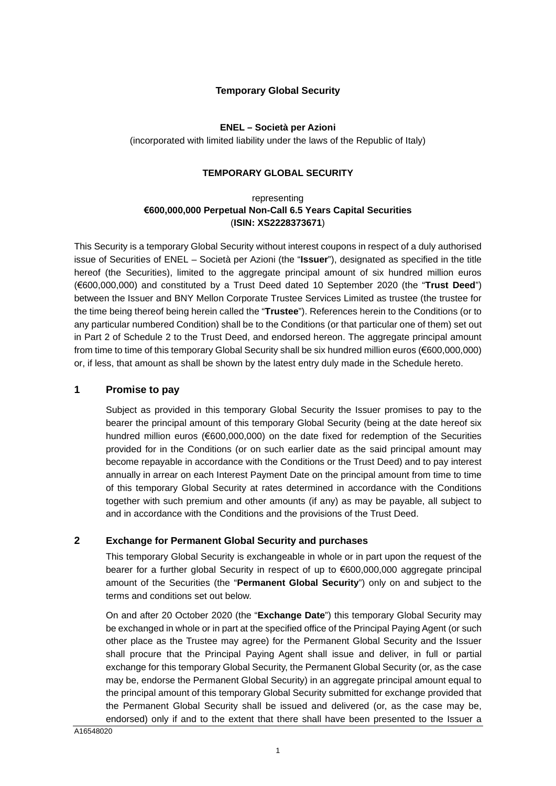# **Temporary Global Security**

# **ENEL – Società per Azioni**

(incorporated with limited liability under the laws of the Republic of Italy)

# **TEMPORARY GLOBAL SECURITY**

# representing **€600,000,000 Perpetual Non-Call 6.5 Years Capital Securities**  (**ISIN: XS2228373671**)

This Security is a temporary Global Security without interest coupons in respect of a duly authorised issue of Securities of ENEL – Società per Azioni (the "**Issuer**"), designated as specified in the title hereof (the Securities), limited to the aggregate principal amount of six hundred million euros (€600,000,000) and constituted by a Trust Deed dated 10 September 2020 (the "**Trust Deed**") between the Issuer and BNY Mellon Corporate Trustee Services Limited as trustee (the trustee for the time being thereof being herein called the "**Trustee**"). References herein to the Conditions (or to any particular numbered Condition) shall be to the Conditions (or that particular one of them) set out in Part 2 of Schedule 2 to the Trust Deed, and endorsed hereon. The aggregate principal amount from time to time of this temporary Global Security shall be six hundred million euros (€600,000,000) or, if less, that amount as shall be shown by the latest entry duly made in the Schedule hereto.

# **1 Promise to pay**

Subject as provided in this temporary Global Security the Issuer promises to pay to the bearer the principal amount of this temporary Global Security (being at the date hereof six hundred million euros (€600,000,000) on the date fixed for redemption of the Securities provided for in the Conditions (or on such earlier date as the said principal amount may become repayable in accordance with the Conditions or the Trust Deed) and to pay interest annually in arrear on each Interest Payment Date on the principal amount from time to time of this temporary Global Security at rates determined in accordance with the Conditions together with such premium and other amounts (if any) as may be payable, all subject to and in accordance with the Conditions and the provisions of the Trust Deed.

# **2 Exchange for Permanent Global Security and purchases**

This temporary Global Security is exchangeable in whole or in part upon the request of the bearer for a further global Security in respect of up to €600,000,000 aggregate principal amount of the Securities (the "**Permanent Global Security**") only on and subject to the terms and conditions set out below.

On and after 20 October 2020 (the "**Exchange Date**") this temporary Global Security may be exchanged in whole or in part at the specified office of the Principal Paying Agent (or such other place as the Trustee may agree) for the Permanent Global Security and the Issuer shall procure that the Principal Paying Agent shall issue and deliver, in full or partial exchange for this temporary Global Security, the Permanent Global Security (or, as the case may be, endorse the Permanent Global Security) in an aggregate principal amount equal to the principal amount of this temporary Global Security submitted for exchange provided that the Permanent Global Security shall be issued and delivered (or, as the case may be, endorsed) only if and to the extent that there shall have been presented to the Issuer a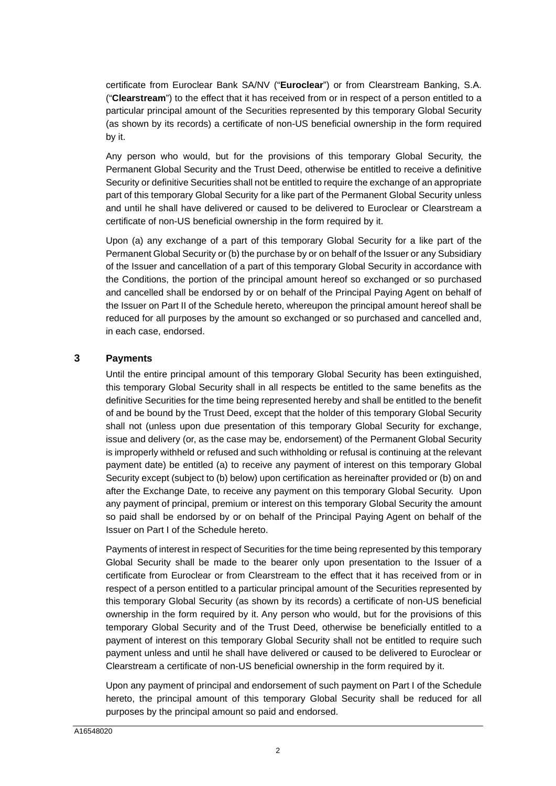certificate from Euroclear Bank SA/NV ("**Euroclear**") or from Clearstream Banking, S.A. ("**Clearstream**") to the effect that it has received from or in respect of a person entitled to a particular principal amount of the Securities represented by this temporary Global Security (as shown by its records) a certificate of non-US beneficial ownership in the form required by it.

Any person who would, but for the provisions of this temporary Global Security, the Permanent Global Security and the Trust Deed, otherwise be entitled to receive a definitive Security or definitive Securities shall not be entitled to require the exchange of an appropriate part of this temporary Global Security for a like part of the Permanent Global Security unless and until he shall have delivered or caused to be delivered to Euroclear or Clearstream a certificate of non-US beneficial ownership in the form required by it.

Upon (a) any exchange of a part of this temporary Global Security for a like part of the Permanent Global Security or (b) the purchase by or on behalf of the Issuer or any Subsidiary of the Issuer and cancellation of a part of this temporary Global Security in accordance with the Conditions, the portion of the principal amount hereof so exchanged or so purchased and cancelled shall be endorsed by or on behalf of the Principal Paying Agent on behalf of the Issuer on [Part II](#page-7-0) of the Schedule hereto, whereupon the principal amount hereof shall be reduced for all purposes by the amount so exchanged or so purchased and cancelled and, in each case, endorsed.

# **3 Payments**

Until the entire principal amount of this temporary Global Security has been extinguished, this temporary Global Security shall in all respects be entitled to the same benefits as the definitive Securities for the time being represented hereby and shall be entitled to the benefit of and be bound by the Trust Deed, except that the holder of this temporary Global Security shall not (unless upon due presentation of this temporary Global Security for exchange, issue and delivery (or, as the case may be, endorsement) of the Permanent Global Security is improperly withheld or refused and such withholding or refusal is continuing at the relevant payment date) be entitled (a) to receive any payment of interest on this temporary Global Security except (subject to (b) below) upon certification as hereinafter provided or (b) on and after the Exchange Date, to receive any payment on this temporary Global Security. Upon any payment of principal, premium or interest on this temporary Global Security the amount so paid shall be endorsed by or on behalf of the Principal Paying Agent on behalf of the Issuer on [Part I](#page-6-0) of the Schedule hereto.

Payments of interest in respect of Securities for the time being represented by this temporary Global Security shall be made to the bearer only upon presentation to the Issuer of a certificate from Euroclear or from Clearstream to the effect that it has received from or in respect of a person entitled to a particular principal amount of the Securities represented by this temporary Global Security (as shown by its records) a certificate of non-US beneficial ownership in the form required by it. Any person who would, but for the provisions of this temporary Global Security and of the Trust Deed, otherwise be beneficially entitled to a payment of interest on this temporary Global Security shall not be entitled to require such payment unless and until he shall have delivered or caused to be delivered to Euroclear or Clearstream a certificate of non-US beneficial ownership in the form required by it.

Upon any payment of principal and endorsement of such payment on [Part I](#page-6-0) of the Schedule hereto, the principal amount of this temporary Global Security shall be reduced for all purposes by the principal amount so paid and endorsed.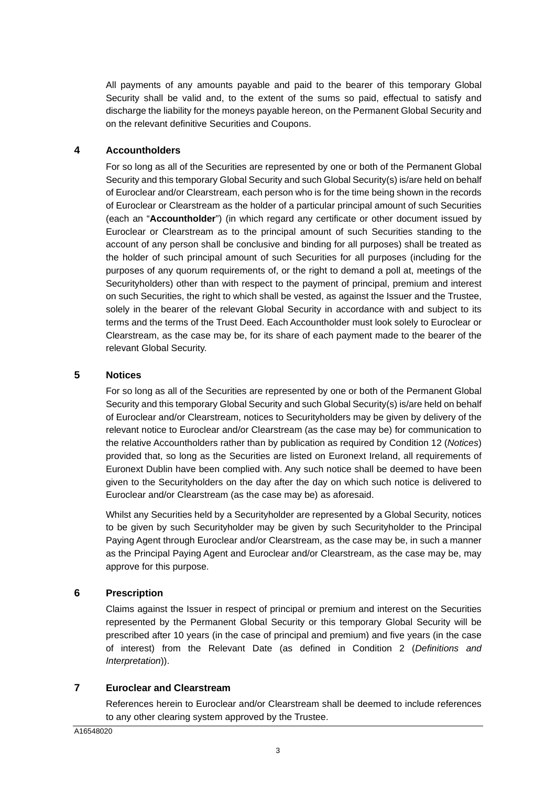All payments of any amounts payable and paid to the bearer of this temporary Global Security shall be valid and, to the extent of the sums so paid, effectual to satisfy and discharge the liability for the moneys payable hereon, on the Permanent Global Security and on the relevant definitive Securities and Coupons.

# **4 Accountholders**

For so long as all of the Securities are represented by one or both of the Permanent Global Security and this temporary Global Security and such Global Security(s) is/are held on behalf of Euroclear and/or Clearstream, each person who is for the time being shown in the records of Euroclear or Clearstream as the holder of a particular principal amount of such Securities (each an "**Accountholder**") (in which regard any certificate or other document issued by Euroclear or Clearstream as to the principal amount of such Securities standing to the account of any person shall be conclusive and binding for all purposes) shall be treated as the holder of such principal amount of such Securities for all purposes (including for the purposes of any quorum requirements of, or the right to demand a poll at, meetings of the Securityholders) other than with respect to the payment of principal, premium and interest on such Securities, the right to which shall be vested, as against the Issuer and the Trustee, solely in the bearer of the relevant Global Security in accordance with and subject to its terms and the terms of the Trust Deed. Each Accountholder must look solely to Euroclear or Clearstream, as the case may be, for its share of each payment made to the bearer of the relevant Global Security.

# **5 Notices**

For so long as all of the Securities are represented by one or both of the Permanent Global Security and this temporary Global Security and such Global Security(s) is/are held on behalf of Euroclear and/or Clearstream, notices to Securityholders may be given by delivery of the relevant notice to Euroclear and/or Clearstream (as the case may be) for communication to the relative Accountholders rather than by publication as required by Condition 12 (*Notices*) provided that, so long as the Securities are listed on Euronext Ireland, all requirements of Euronext Dublin have been complied with. Any such notice shall be deemed to have been given to the Securityholders on the day after the day on which such notice is delivered to Euroclear and/or Clearstream (as the case may be) as aforesaid.

Whilst any Securities held by a Securityholder are represented by a Global Security, notices to be given by such Securityholder may be given by such Securityholder to the Principal Paying Agent through Euroclear and/or Clearstream, as the case may be, in such a manner as the Principal Paying Agent and Euroclear and/or Clearstream, as the case may be, may approve for this purpose.

# **6 Prescription**

Claims against the Issuer in respect of principal or premium and interest on the Securities represented by the Permanent Global Security or this temporary Global Security will be prescribed after 10 years (in the case of principal and premium) and five years (in the case of interest) from the Relevant Date (as defined in Condition 2 (*Definitions and Interpretation*)).

# **7 Euroclear and Clearstream**

References herein to Euroclear and/or Clearstream shall be deemed to include references to any other clearing system approved by the Trustee.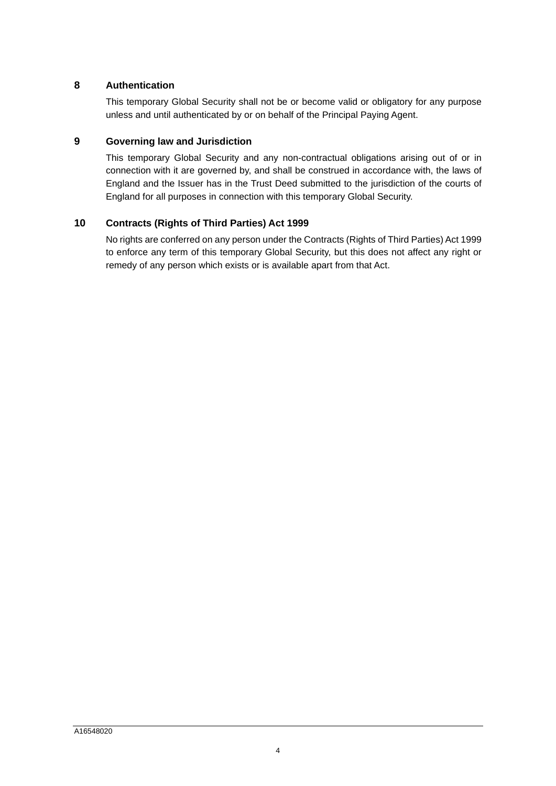# **8 Authentication**

This temporary Global Security shall not be or become valid or obligatory for any purpose unless and until authenticated by or on behalf of the Principal Paying Agent.

# **9 Governing law and Jurisdiction**

This temporary Global Security and any non-contractual obligations arising out of or in connection with it are governed by, and shall be construed in accordance with, the laws of England and the Issuer has in the Trust Deed submitted to the jurisdiction of the courts of England for all purposes in connection with this temporary Global Security.

# **10 Contracts (Rights of Third Parties) Act 1999**

No rights are conferred on any person under the Contracts (Rights of Third Parties) Act 1999 to enforce any term of this temporary Global Security, but this does not affect any right or remedy of any person which exists or is available apart from that Act.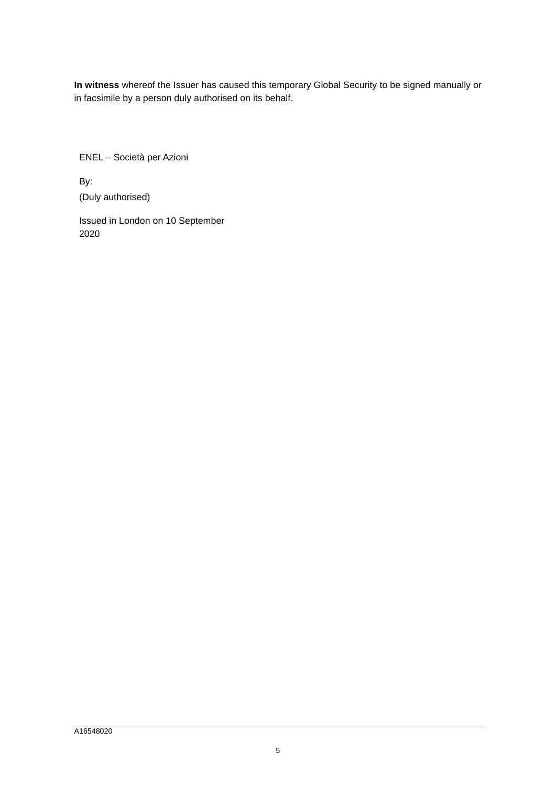**In witness** whereof the Issuer has caused this temporary Global Security to be signed manually or in facsimile by a person duly authorised on its behalf.

ENEL – Società per Azioni

By: (Duly authorised)

Issued in London on 10 September 2020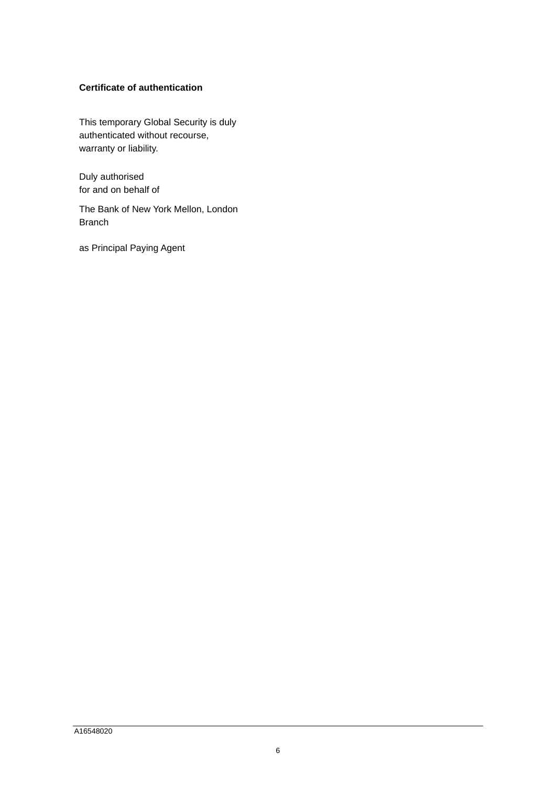# **Certificate of authentication**

This temporary Global Security is duly authenticated without recourse, warranty or liability.

Duly authorised for and on behalf of

The Bank of New York Mellon, London Branch

as Principal Paying Agent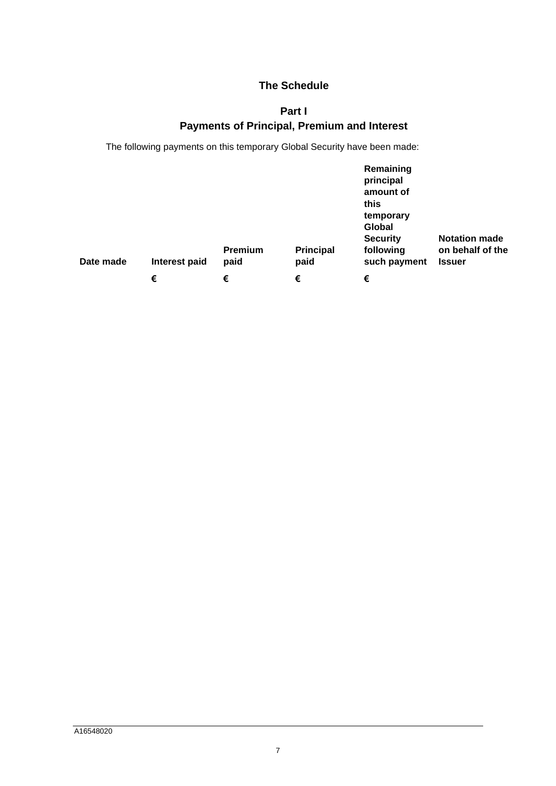# <span id="page-6-0"></span>**The Schedule**

# **Part I Payments of Principal, Premium and Interest**

The following payments on this temporary Global Security have been made:

| Date made | Interest paid | <b>Premium</b><br>paid | <b>Principal</b><br>paid | Remaining<br>principal<br>amount of<br>this<br>temporary<br>Global<br><b>Security</b><br>following<br>such payment | <b>Notation made</b><br>on behalf of the<br><b>Issuer</b> |
|-----------|---------------|------------------------|--------------------------|--------------------------------------------------------------------------------------------------------------------|-----------------------------------------------------------|
|           | €             | €                      | €                        | €                                                                                                                  |                                                           |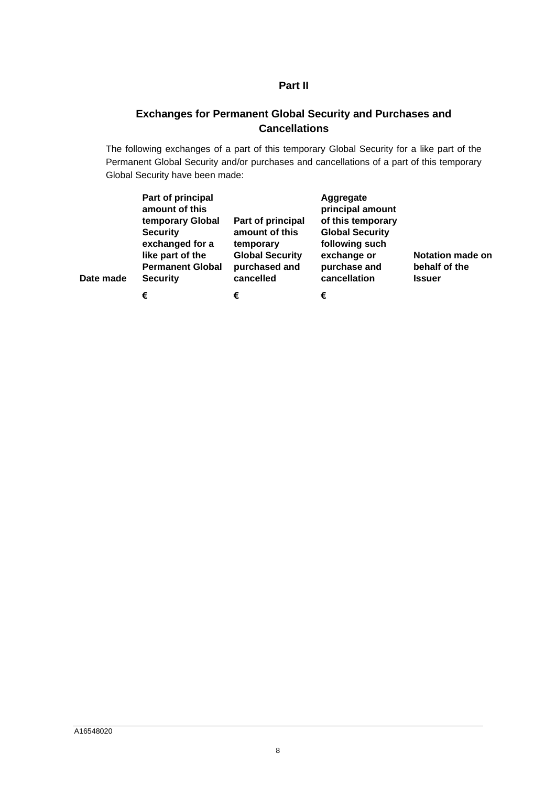# **Part II**

# <span id="page-7-0"></span>**Exchanges for Permanent Global Security and Purchases and Cancellations**

The following exchanges of a part of this temporary Global Security for a like part of the Permanent Global Security and/or purchases and cancellations of a part of this temporary Global Security have been made:

| Date made | Part of principal<br>amount of this<br>temporary Global<br><b>Security</b><br>exchanged for a<br>like part of the<br><b>Permanent Global</b><br><b>Security</b> | Part of principal<br>amount of this<br>temporary<br><b>Global Security</b><br>purchased and<br>cancelled | Aggregate<br>principal amount<br>of this temporary<br><b>Global Security</b><br>following such<br>exchange or<br>purchase and<br>cancellation | Notation made on<br>behalf of the<br><b>Issuer</b> |
|-----------|-----------------------------------------------------------------------------------------------------------------------------------------------------------------|----------------------------------------------------------------------------------------------------------|-----------------------------------------------------------------------------------------------------------------------------------------------|----------------------------------------------------|
|           | €                                                                                                                                                               | €                                                                                                        | €                                                                                                                                             |                                                    |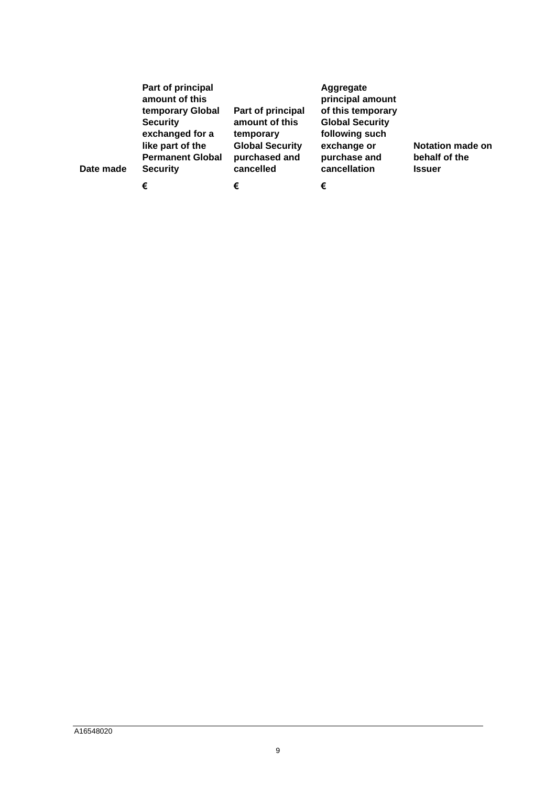| Date made | Part of principal<br>amount of this<br>temporary Global<br><b>Security</b><br>exchanged for a<br>like part of the<br><b>Permanent Global</b><br><b>Security</b> | Part of principal<br>amount of this<br>temporary<br><b>Global Security</b><br>purchased and<br>cancelled | Aggregate<br>principal amount<br>of this temporary<br><b>Global Security</b><br>following such<br>exchange or<br>purchase and<br>cancellation | <b>Notation made on</b><br>behalf of the<br><b>Issuer</b> |
|-----------|-----------------------------------------------------------------------------------------------------------------------------------------------------------------|----------------------------------------------------------------------------------------------------------|-----------------------------------------------------------------------------------------------------------------------------------------------|-----------------------------------------------------------|
|           | €                                                                                                                                                               | €                                                                                                        | €                                                                                                                                             |                                                           |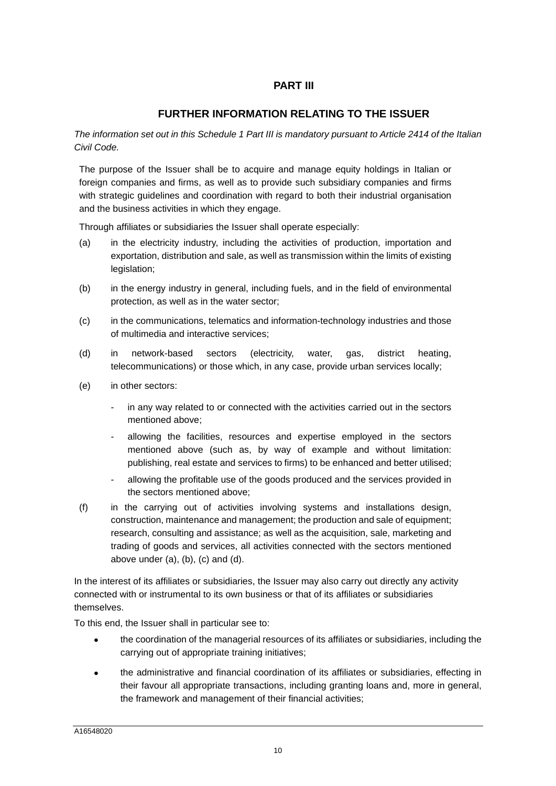# **PART III**

# **FURTHER INFORMATION RELATING TO THE ISSUER**

*The information set out in this Schedule 1 Part III is mandatory pursuant to Article 2414 of the Italian Civil Code.* 

The purpose of the Issuer shall be to acquire and manage equity holdings in Italian or foreign companies and firms, as well as to provide such subsidiary companies and firms with strategic guidelines and coordination with regard to both their industrial organisation and the business activities in which they engage.

Through affiliates or subsidiaries the Issuer shall operate especially:

- (a) in the electricity industry, including the activities of production, importation and exportation, distribution and sale, as well as transmission within the limits of existing legislation;
- (b) in the energy industry in general, including fuels, and in the field of environmental protection, as well as in the water sector;
- (c) in the communications, telematics and information-technology industries and those of multimedia and interactive services;
- (d) in network-based sectors (electricity, water, gas, district heating, telecommunications) or those which, in any case, provide urban services locally;
- (e) in other sectors:
	- in any way related to or connected with the activities carried out in the sectors mentioned above;
	- allowing the facilities, resources and expertise employed in the sectors mentioned above (such as, by way of example and without limitation: publishing, real estate and services to firms) to be enhanced and better utilised;
	- allowing the profitable use of the goods produced and the services provided in the sectors mentioned above;
- (f) in the carrying out of activities involving systems and installations design, construction, maintenance and management; the production and sale of equipment; research, consulting and assistance; as well as the acquisition, sale, marketing and trading of goods and services, all activities connected with the sectors mentioned above under  $(a)$ ,  $(b)$ ,  $(c)$  and  $(d)$ .

In the interest of its affiliates or subsidiaries, the Issuer may also carry out directly any activity connected with or instrumental to its own business or that of its affiliates or subsidiaries themselves.

To this end, the Issuer shall in particular see to:

- the coordination of the managerial resources of its affiliates or subsidiaries, including the carrying out of appropriate training initiatives;
- the administrative and financial coordination of its affiliates or subsidiaries, effecting in their favour all appropriate transactions, including granting loans and, more in general, the framework and management of their financial activities;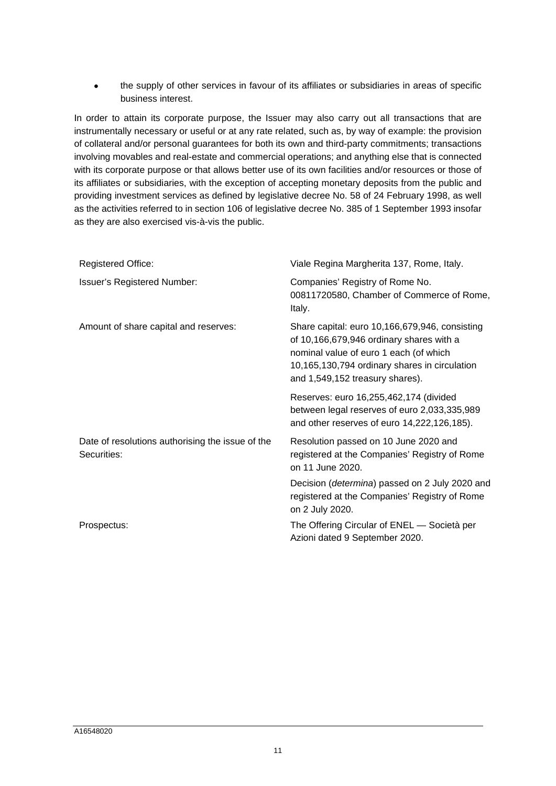the supply of other services in favour of its affiliates or subsidiaries in areas of specific business interest.

In order to attain its corporate purpose, the Issuer may also carry out all transactions that are instrumentally necessary or useful or at any rate related, such as, by way of example: the provision of collateral and/or personal guarantees for both its own and third-party commitments; transactions involving movables and real-estate and commercial operations; and anything else that is connected with its corporate purpose or that allows better use of its own facilities and/or resources or those of its affiliates or subsidiaries, with the exception of accepting monetary deposits from the public and providing investment services as defined by legislative decree No. 58 of 24 February 1998, as well as the activities referred to in section 106 of legislative decree No. 385 of 1 September 1993 insofar as they are also exercised vis-à-vis the public.

| <b>Registered Office:</b>                                       | Viale Regina Margherita 137, Rome, Italy.                                                                                                                                                                                |
|-----------------------------------------------------------------|--------------------------------------------------------------------------------------------------------------------------------------------------------------------------------------------------------------------------|
| <b>Issuer's Registered Number:</b>                              | Companies' Registry of Rome No.<br>00811720580, Chamber of Commerce of Rome,<br>Italy.                                                                                                                                   |
| Amount of share capital and reserves:                           | Share capital: euro 10,166,679,946, consisting<br>of 10,166,679,946 ordinary shares with a<br>nominal value of euro 1 each (of which<br>10,165,130,794 ordinary shares in circulation<br>and 1,549,152 treasury shares). |
|                                                                 | Reserves: euro 16,255,462,174 (divided<br>between legal reserves of euro 2,033,335,989<br>and other reserves of euro 14,222,126,185).                                                                                    |
| Date of resolutions authorising the issue of the<br>Securities: | Resolution passed on 10 June 2020 and<br>registered at the Companies' Registry of Rome<br>on 11 June 2020.                                                                                                               |
|                                                                 | Decision (determina) passed on 2 July 2020 and<br>registered at the Companies' Registry of Rome<br>on 2 July 2020.                                                                                                       |
| Prospectus:                                                     | The Offering Circular of ENEL - Società per<br>Azioni dated 9 September 2020.                                                                                                                                            |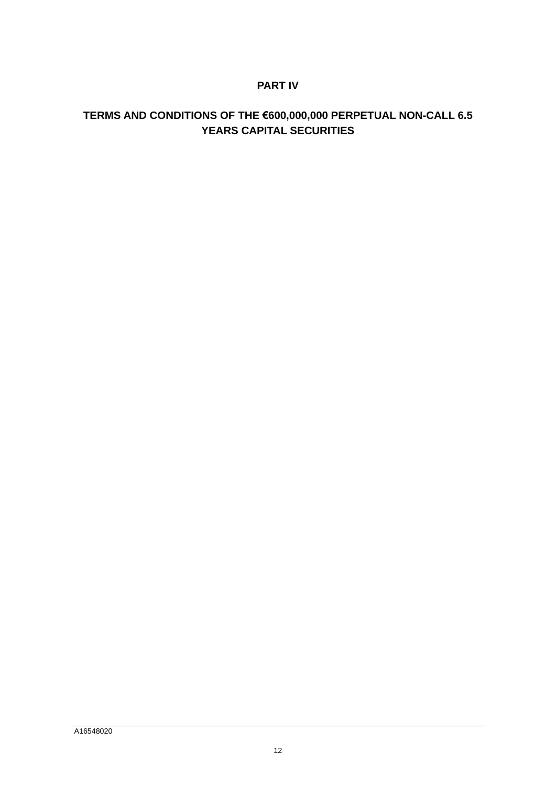# **PART IV**

# **TERMS AND CONDITIONS OF THE €600,000,000 PERPETUAL NON-CALL 6.5 YEARS CAPITAL SECURITIES**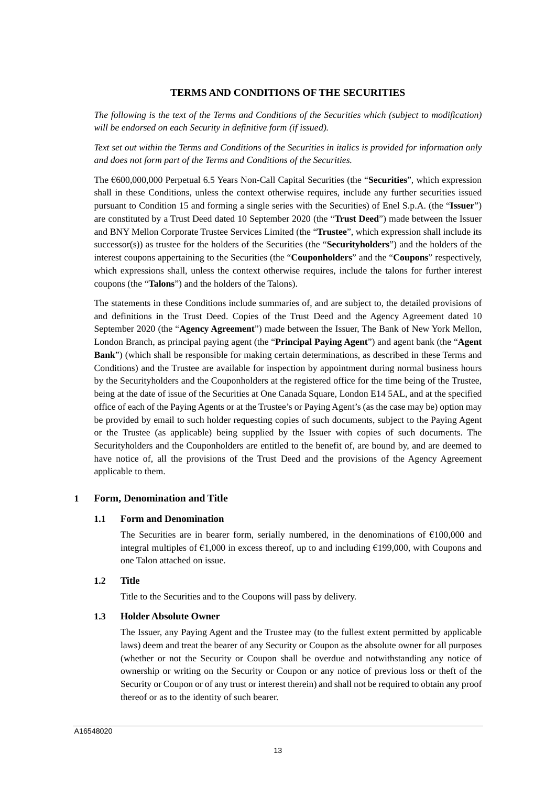# **TERMS AND CONDITIONS OF THE SECURITIES**

*The following is the text of the Terms and Conditions of the Securities which (subject to modification) will be endorsed on each Security in definitive form (if issued).* 

*Text set out within the Terms and Conditions of the Securities in italics is provided for information only and does not form part of the Terms and Conditions of the Securities.* 

The €600,000,000 Perpetual 6.5 Years Non-Call Capital Securities (the "**Securities**", which expression shall in these Conditions, unless the context otherwise requires, include any further securities issued pursuant to Condition 15 and forming a single series with the Securities) of Enel S.p.A. (the "**Issuer**") are constituted by a Trust Deed dated 10 September 2020 (the "**Trust Deed**") made between the Issuer and BNY Mellon Corporate Trustee Services Limited (the "**Trustee**", which expression shall include its successor(s)) as trustee for the holders of the Securities (the "**Securityholders**") and the holders of the interest coupons appertaining to the Securities (the "**Couponholders**" and the "**Coupons**" respectively, which expressions shall, unless the context otherwise requires, include the talons for further interest coupons (the "**Talons**") and the holders of the Talons).

The statements in these Conditions include summaries of, and are subject to, the detailed provisions of and definitions in the Trust Deed. Copies of the Trust Deed and the Agency Agreement dated 10 September 2020 (the "**Agency Agreement**") made between the Issuer, The Bank of New York Mellon, London Branch, as principal paying agent (the "**Principal Paying Agent**") and agent bank (the "**Agent Bank**") (which shall be responsible for making certain determinations, as described in these Terms and Conditions) and the Trustee are available for inspection by appointment during normal business hours by the Securityholders and the Couponholders at the registered office for the time being of the Trustee, being at the date of issue of the Securities at One Canada Square, London E14 5AL, and at the specified office of each of the Paying Agents or at the Trustee's or Paying Agent's (as the case may be) option may be provided by email to such holder requesting copies of such documents, subject to the Paying Agent or the Trustee (as applicable) being supplied by the Issuer with copies of such documents. The Securityholders and the Couponholders are entitled to the benefit of, are bound by, and are deemed to have notice of, all the provisions of the Trust Deed and the provisions of the Agency Agreement applicable to them.

# **1 Form, Denomination and Title**

#### **1.1 Form and Denomination**

The Securities are in bearer form, serially numbered, in the denominations of  $\epsilon$ 100,000 and integral multiples of  $\epsilon$ 1,000 in excess thereof, up to and including  $\epsilon$ 199,000, with Coupons and one Talon attached on issue.

#### **1.2 Title**

Title to the Securities and to the Coupons will pass by delivery.

#### **1.3 Holder Absolute Owner**

The Issuer, any Paying Agent and the Trustee may (to the fullest extent permitted by applicable laws) deem and treat the bearer of any Security or Coupon as the absolute owner for all purposes (whether or not the Security or Coupon shall be overdue and notwithstanding any notice of ownership or writing on the Security or Coupon or any notice of previous loss or theft of the Security or Coupon or of any trust or interest therein) and shall not be required to obtain any proof thereof or as to the identity of such bearer.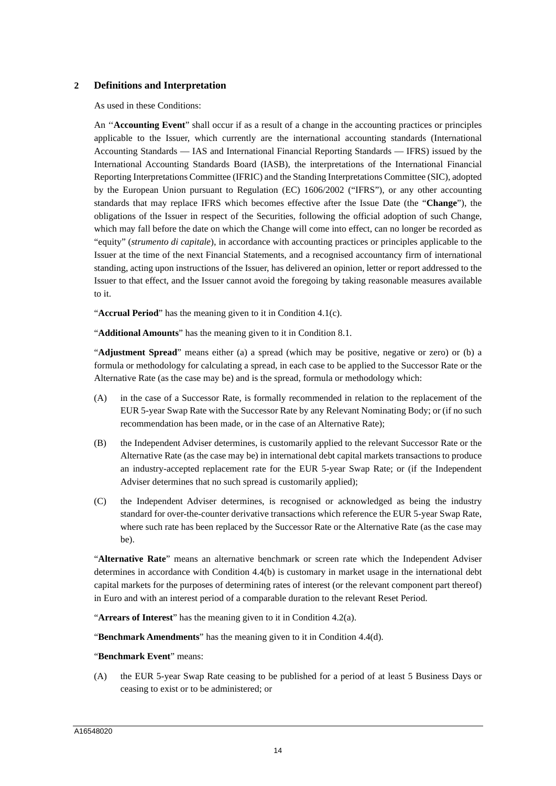# **2 Definitions and Interpretation**

As used in these Conditions:

An ''**Accounting Event**" shall occur if as a result of a change in the accounting practices or principles applicable to the Issuer, which currently are the international accounting standards (International Accounting Standards — IAS and International Financial Reporting Standards — IFRS) issued by the International Accounting Standards Board (IASB), the interpretations of the International Financial Reporting Interpretations Committee (IFRIC) and the Standing Interpretations Committee (SIC), adopted by the European Union pursuant to Regulation (EC) 1606/2002 ("IFRS"), or any other accounting standards that may replace IFRS which becomes effective after the Issue Date (the "**Change**"), the obligations of the Issuer in respect of the Securities, following the official adoption of such Change, which may fall before the date on which the Change will come into effect, can no longer be recorded as "equity" (*strumento di capitale*), in accordance with accounting practices or principles applicable to the Issuer at the time of the next Financial Statements, and a recognised accountancy firm of international standing, acting upon instructions of the Issuer, has delivered an opinion, letter or report addressed to the Issuer to that effect, and the Issuer cannot avoid the foregoing by taking reasonable measures available to it.

"**Accrual Period**" has the meaning given to it in Condition 4.1(c).

"**Additional Amounts**" has the meaning given to it in Condition 8.1.

"**Adjustment Spread**" means either (a) a spread (which may be positive, negative or zero) or (b) a formula or methodology for calculating a spread, in each case to be applied to the Successor Rate or the Alternative Rate (as the case may be) and is the spread, formula or methodology which:

- (A) in the case of a Successor Rate, is formally recommended in relation to the replacement of the EUR 5-year Swap Rate with the Successor Rate by any Relevant Nominating Body; or (if no such recommendation has been made, or in the case of an Alternative Rate);
- (B) the Independent Adviser determines, is customarily applied to the relevant Successor Rate or the Alternative Rate (as the case may be) in international debt capital markets transactions to produce an industry-accepted replacement rate for the EUR 5-year Swap Rate; or (if the Independent Adviser determines that no such spread is customarily applied);
- (C) the Independent Adviser determines, is recognised or acknowledged as being the industry standard for over-the-counter derivative transactions which reference the EUR 5-year Swap Rate, where such rate has been replaced by the Successor Rate or the Alternative Rate (as the case may be).

"**Alternative Rate**" means an alternative benchmark or screen rate which the Independent Adviser determines in accordance with Condition 4.4(b) is customary in market usage in the international debt capital markets for the purposes of determining rates of interest (or the relevant component part thereof) in Euro and with an interest period of a comparable duration to the relevant Reset Period.

"**Arrears of Interest**" has the meaning given to it in Condition 4.2(a).

"**Benchmark Amendments**" has the meaning given to it in Condition 4.4(d).

#### "**Benchmark Event**" means:

(A) the EUR 5-year Swap Rate ceasing to be published for a period of at least 5 Business Days or ceasing to exist or to be administered; or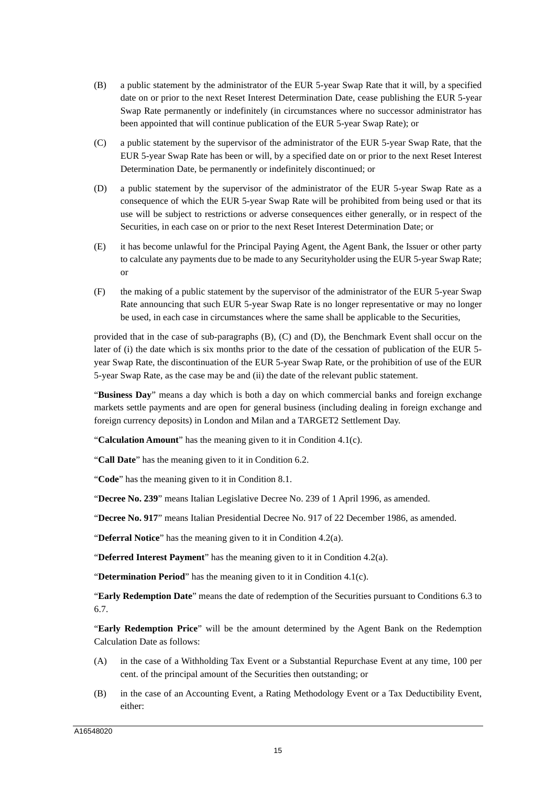- (B) a public statement by the administrator of the EUR 5-year Swap Rate that it will, by a specified date on or prior to the next Reset Interest Determination Date, cease publishing the EUR 5-year Swap Rate permanently or indefinitely (in circumstances where no successor administrator has been appointed that will continue publication of the EUR 5-year Swap Rate); or
- (C) a public statement by the supervisor of the administrator of the EUR 5-year Swap Rate, that the EUR 5-year Swap Rate has been or will, by a specified date on or prior to the next Reset Interest Determination Date, be permanently or indefinitely discontinued; or
- (D) a public statement by the supervisor of the administrator of the EUR 5-year Swap Rate as a consequence of which the EUR 5-year Swap Rate will be prohibited from being used or that its use will be subject to restrictions or adverse consequences either generally, or in respect of the Securities, in each case on or prior to the next Reset Interest Determination Date; or
- (E) it has become unlawful for the Principal Paying Agent, the Agent Bank, the Issuer or other party to calculate any payments due to be made to any Securityholder using the EUR 5-year Swap Rate; or
- (F) the making of a public statement by the supervisor of the administrator of the EUR 5-year Swap Rate announcing that such EUR 5-year Swap Rate is no longer representative or may no longer be used, in each case in circumstances where the same shall be applicable to the Securities,

provided that in the case of sub-paragraphs (B), (C) and (D), the Benchmark Event shall occur on the later of (i) the date which is six months prior to the date of the cessation of publication of the EUR 5year Swap Rate, the discontinuation of the EUR 5-year Swap Rate, or the prohibition of use of the EUR 5-year Swap Rate, as the case may be and (ii) the date of the relevant public statement.

"**Business Day**" means a day which is both a day on which commercial banks and foreign exchange markets settle payments and are open for general business (including dealing in foreign exchange and foreign currency deposits) in London and Milan and a TARGET2 Settlement Day.

"**Calculation Amount**" has the meaning given to it in Condition 4.1(c).

"**Call Date**" has the meaning given to it in Condition 6.2.

"**Code**" has the meaning given to it in Condition 8.1.

"**Decree No. 239**" means Italian Legislative Decree No. 239 of 1 April 1996, as amended.

"**Decree No. 917**" means Italian Presidential Decree No. 917 of 22 December 1986, as amended.

"**Deferral Notice**" has the meaning given to it in Condition 4.2(a).

"**Deferred Interest Payment**" has the meaning given to it in Condition 4.2(a).

"**Determination Period**" has the meaning given to it in Condition 4.1(c).

"**Early Redemption Date**" means the date of redemption of the Securities pursuant to Conditions 6.3 to 6.7.

"**Early Redemption Price**" will be the amount determined by the Agent Bank on the Redemption Calculation Date as follows:

- (A) in the case of a Withholding Tax Event or a Substantial Repurchase Event at any time, 100 per cent. of the principal amount of the Securities then outstanding; or
- (B) in the case of an Accounting Event, a Rating Methodology Event or a Tax Deductibility Event, either: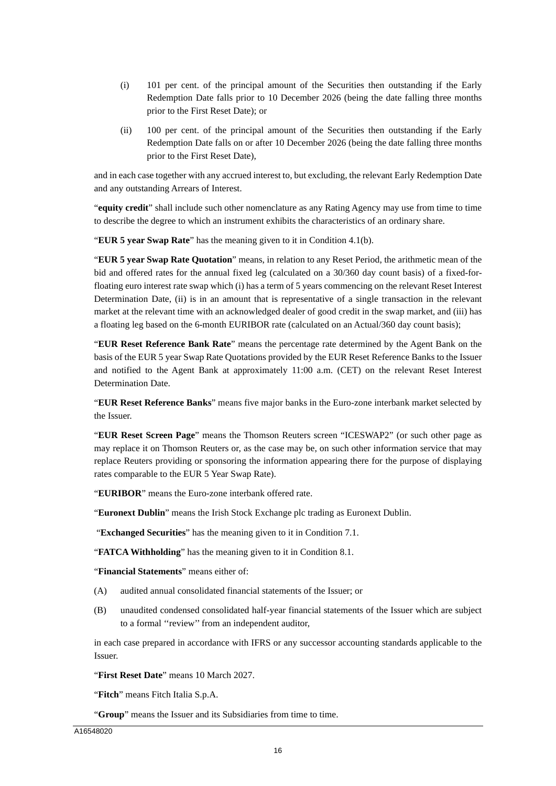- (i) 101 per cent. of the principal amount of the Securities then outstanding if the Early Redemption Date falls prior to 10 December 2026 (being the date falling three months prior to the First Reset Date); or
- (ii) 100 per cent. of the principal amount of the Securities then outstanding if the Early Redemption Date falls on or after 10 December 2026 (being the date falling three months prior to the First Reset Date),

and in each case together with any accrued interest to, but excluding, the relevant Early Redemption Date and any outstanding Arrears of Interest.

"**equity credit**" shall include such other nomenclature as any Rating Agency may use from time to time to describe the degree to which an instrument exhibits the characteristics of an ordinary share.

"**EUR 5 year Swap Rate**" has the meaning given to it in Condition 4.1(b).

"**EUR 5 year Swap Rate Quotation**" means, in relation to any Reset Period, the arithmetic mean of the bid and offered rates for the annual fixed leg (calculated on a 30/360 day count basis) of a fixed-forfloating euro interest rate swap which (i) has a term of 5 years commencing on the relevant Reset Interest Determination Date, (ii) is in an amount that is representative of a single transaction in the relevant market at the relevant time with an acknowledged dealer of good credit in the swap market, and (iii) has a floating leg based on the 6-month EURIBOR rate (calculated on an Actual/360 day count basis);

"**EUR Reset Reference Bank Rate**" means the percentage rate determined by the Agent Bank on the basis of the EUR 5 year Swap Rate Quotations provided by the EUR Reset Reference Banks to the Issuer and notified to the Agent Bank at approximately 11:00 a.m. (CET) on the relevant Reset Interest Determination Date.

"**EUR Reset Reference Banks**" means five major banks in the Euro-zone interbank market selected by the Issuer.

"**EUR Reset Screen Page**" means the Thomson Reuters screen "ICESWAP2" (or such other page as may replace it on Thomson Reuters or, as the case may be, on such other information service that may replace Reuters providing or sponsoring the information appearing there for the purpose of displaying rates comparable to the EUR 5 Year Swap Rate).

"**EURIBOR**" means the Euro-zone interbank offered rate.

"**Euronext Dublin**" means the Irish Stock Exchange plc trading as Euronext Dublin.

"**Exchanged Securities**" has the meaning given to it in Condition 7.1.

"**FATCA Withholding**" has the meaning given to it in Condition 8.1.

"**Financial Statements**" means either of:

- (A) audited annual consolidated financial statements of the Issuer; or
- (B) unaudited condensed consolidated half-year financial statements of the Issuer which are subject to a formal ''review'' from an independent auditor,

in each case prepared in accordance with IFRS or any successor accounting standards applicable to the Issuer.

"**First Reset Date**" means 10 March 2027.

"**Fitch**" means Fitch Italia S.p.A.

"**Group**" means the Issuer and its Subsidiaries from time to time.

A16548020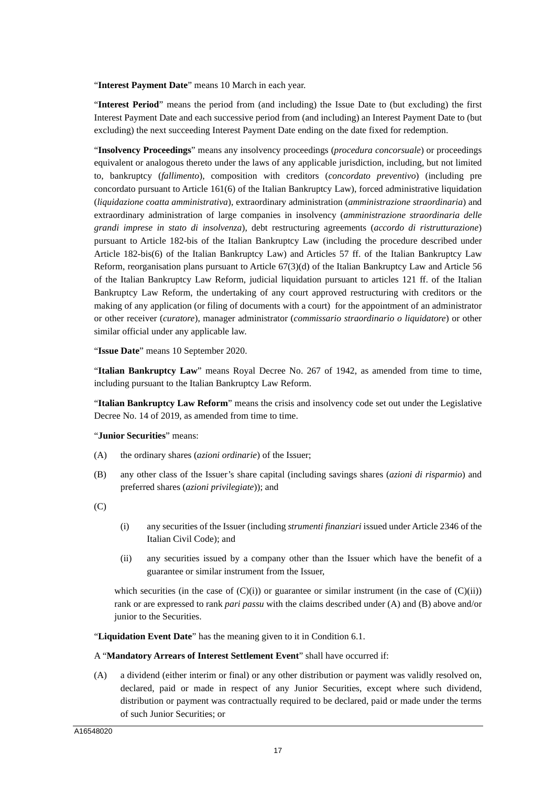"**Interest Payment Date**" means 10 March in each year.

"**Interest Period**" means the period from (and including) the Issue Date to (but excluding) the first Interest Payment Date and each successive period from (and including) an Interest Payment Date to (but excluding) the next succeeding Interest Payment Date ending on the date fixed for redemption.

"**Insolvency Proceedings**" means any insolvency proceedings (*procedura concorsuale*) or proceedings equivalent or analogous thereto under the laws of any applicable jurisdiction, including, but not limited to, bankruptcy (*fallimento*), composition with creditors (*concordato preventivo*) (including pre concordato pursuant to Article 161(6) of the Italian Bankruptcy Law), forced administrative liquidation (*liquidazione coatta amministrativa*), extraordinary administration (*amministrazione straordinaria*) and extraordinary administration of large companies in insolvency (*amministrazione straordinaria delle grandi imprese in stato di insolvenza*), debt restructuring agreements (*accordo di ristrutturazione*) pursuant to Article 182-bis of the Italian Bankruptcy Law (including the procedure described under Article 182-bis(6) of the Italian Bankruptcy Law) and Articles 57 ff. of the Italian Bankruptcy Law Reform, reorganisation plans pursuant to Article 67(3)(d) of the Italian Bankruptcy Law and Article 56 of the Italian Bankruptcy Law Reform, judicial liquidation pursuant to articles 121 ff. of the Italian Bankruptcy Law Reform, the undertaking of any court approved restructuring with creditors or the making of any application (or filing of documents with a court) for the appointment of an administrator or other receiver (*curatore*), manager administrator (*commissario straordinario o liquidatore*) or other similar official under any applicable law.

"**Issue Date**" means 10 September 2020.

"**Italian Bankruptcy Law**" means Royal Decree No. 267 of 1942, as amended from time to time, including pursuant to the Italian Bankruptcy Law Reform.

"**Italian Bankruptcy Law Reform**" means the crisis and insolvency code set out under the Legislative Decree No. 14 of 2019, as amended from time to time.

#### "**Junior Securities**" means:

- (A) the ordinary shares (*azioni ordinarie*) of the Issuer;
- (B) any other class of the Issuer's share capital (including savings shares (*azioni di risparmio*) and preferred shares (*azioni privilegiate*)); and

 $(C)$ 

- (i) any securities of the Issuer (including *strumenti finanziari* issued under Article 2346 of the Italian Civil Code); and
- (ii) any securities issued by a company other than the Issuer which have the benefit of a guarantee or similar instrument from the Issuer,

which securities (in the case of  $(C)(i)$ ) or guarantee or similar instrument (in the case of  $(C)(ii)$ ) rank or are expressed to rank *pari passu* with the claims described under (A) and (B) above and/or junior to the Securities.

"**Liquidation Event Date**" has the meaning given to it in Condition 6.1.

#### A "**Mandatory Arrears of Interest Settlement Event**" shall have occurred if:

(A) a dividend (either interim or final) or any other distribution or payment was validly resolved on, declared, paid or made in respect of any Junior Securities, except where such dividend, distribution or payment was contractually required to be declared, paid or made under the terms of such Junior Securities; or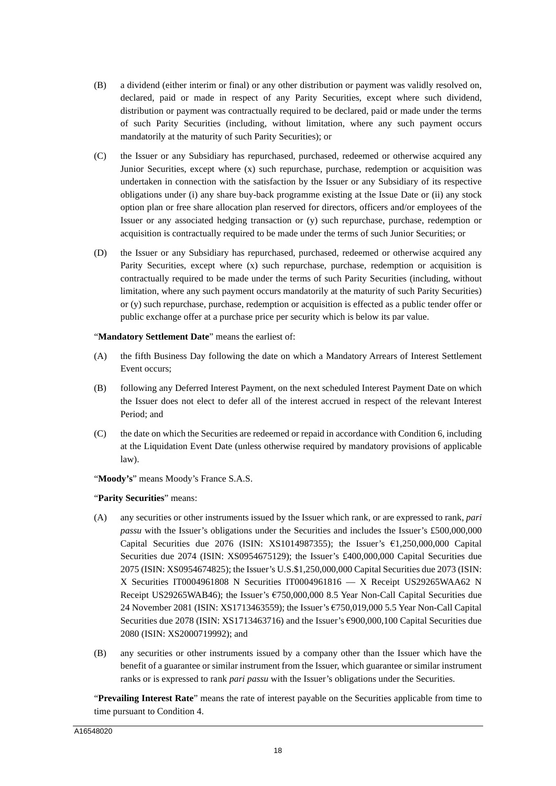- (B) a dividend (either interim or final) or any other distribution or payment was validly resolved on, declared, paid or made in respect of any Parity Securities, except where such dividend, distribution or payment was contractually required to be declared, paid or made under the terms of such Parity Securities (including, without limitation, where any such payment occurs mandatorily at the maturity of such Parity Securities); or
- (C) the Issuer or any Subsidiary has repurchased, purchased, redeemed or otherwise acquired any Junior Securities, except where (x) such repurchase, purchase, redemption or acquisition was undertaken in connection with the satisfaction by the Issuer or any Subsidiary of its respective obligations under (i) any share buy-back programme existing at the Issue Date or (ii) any stock option plan or free share allocation plan reserved for directors, officers and/or employees of the Issuer or any associated hedging transaction or (y) such repurchase, purchase, redemption or acquisition is contractually required to be made under the terms of such Junior Securities; or
- (D) the Issuer or any Subsidiary has repurchased, purchased, redeemed or otherwise acquired any Parity Securities, except where (x) such repurchase, purchase, redemption or acquisition is contractually required to be made under the terms of such Parity Securities (including, without limitation, where any such payment occurs mandatorily at the maturity of such Parity Securities) or (y) such repurchase, purchase, redemption or acquisition is effected as a public tender offer or public exchange offer at a purchase price per security which is below its par value.

"**Mandatory Settlement Date**" means the earliest of:

- (A) the fifth Business Day following the date on which a Mandatory Arrears of Interest Settlement Event occurs;
- (B) following any Deferred Interest Payment, on the next scheduled Interest Payment Date on which the Issuer does not elect to defer all of the interest accrued in respect of the relevant Interest Period; and
- (C) the date on which the Securities are redeemed or repaid in accordance with Condition 6, including at the Liquidation Event Date (unless otherwise required by mandatory provisions of applicable law).

"**Moody's**" means Moody's France S.A.S.

"**Parity Securities**" means:

- (A) any securities or other instruments issued by the Issuer which rank, or are expressed to rank, *pari passu* with the Issuer's obligations under the Securities and includes the Issuer's £500,000,000 Capital Securities due 2076 (ISIN: XS1014987355); the Issuer's  $61,250,000,000$  Capital Securities due 2074 (ISIN: XS0954675129); the Issuer's £400,000,000 Capital Securities due 2075 (ISIN: XS0954674825); the Issuer's U.S.\$1,250,000,000 Capital Securities due 2073 (ISIN: X Securities IT0004961808 N Securities IT0004961816 — X Receipt US29265WAA62 N Receipt US29265WAB46); the Issuer's €750,000,000 8.5 Year Non-Call Capital Securities due 24 November 2081 (ISIN: XS1713463559); the Issuer's €750,019,000 5.5 Year Non-Call Capital Securities due 2078 (ISIN: XS1713463716) and the Issuer's €900,000,100 Capital Securities due 2080 (ISIN: XS2000719992); and
- (B) any securities or other instruments issued by a company other than the Issuer which have the benefit of a guarantee or similar instrument from the Issuer, which guarantee or similar instrument ranks or is expressed to rank *pari passu* with the Issuer's obligations under the Securities.

"**Prevailing Interest Rate**" means the rate of interest payable on the Securities applicable from time to time pursuant to Condition 4.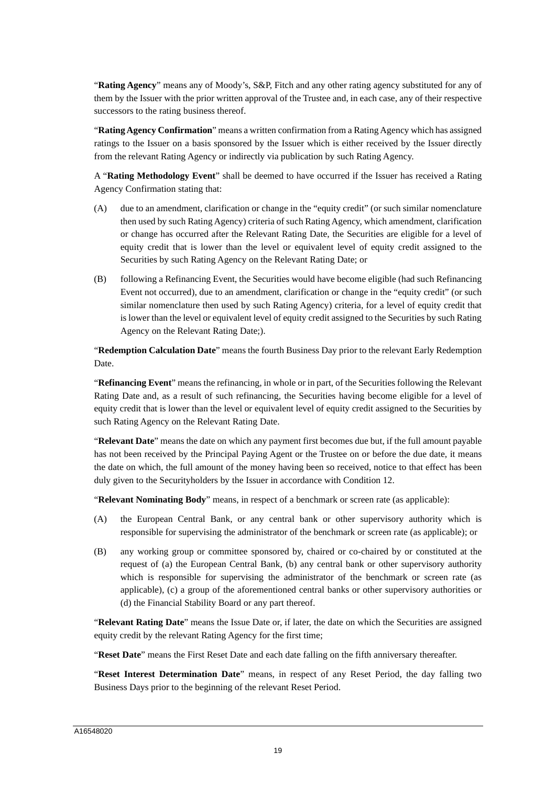"**Rating Agency**" means any of Moody's, S&P, Fitch and any other rating agency substituted for any of them by the Issuer with the prior written approval of the Trustee and, in each case, any of their respective successors to the rating business thereof.

"**Rating Agency Confirmation**" means a written confirmation from a Rating Agency which has assigned ratings to the Issuer on a basis sponsored by the Issuer which is either received by the Issuer directly from the relevant Rating Agency or indirectly via publication by such Rating Agency.

A "**Rating Methodology Event**" shall be deemed to have occurred if the Issuer has received a Rating Agency Confirmation stating that:

- (A) due to an amendment, clarification or change in the "equity credit" (or such similar nomenclature then used by such Rating Agency) criteria of such Rating Agency, which amendment, clarification or change has occurred after the Relevant Rating Date, the Securities are eligible for a level of equity credit that is lower than the level or equivalent level of equity credit assigned to the Securities by such Rating Agency on the Relevant Rating Date; or
- (B) following a Refinancing Event, the Securities would have become eligible (had such Refinancing Event not occurred), due to an amendment, clarification or change in the "equity credit" (or such similar nomenclature then used by such Rating Agency) criteria, for a level of equity credit that is lower than the level or equivalent level of equity credit assigned to the Securities by such Rating Agency on the Relevant Rating Date;).

"**Redemption Calculation Date**" means the fourth Business Day prior to the relevant Early Redemption Date.

"**Refinancing Event**" means the refinancing, in whole or in part, of the Securities following the Relevant Rating Date and, as a result of such refinancing, the Securities having become eligible for a level of equity credit that is lower than the level or equivalent level of equity credit assigned to the Securities by such Rating Agency on the Relevant Rating Date.

"**Relevant Date**" means the date on which any payment first becomes due but, if the full amount payable has not been received by the Principal Paying Agent or the Trustee on or before the due date, it means the date on which, the full amount of the money having been so received, notice to that effect has been duly given to the Securityholders by the Issuer in accordance with Condition 12.

"**Relevant Nominating Body**" means, in respect of a benchmark or screen rate (as applicable):

- (A) the European Central Bank, or any central bank or other supervisory authority which is responsible for supervising the administrator of the benchmark or screen rate (as applicable); or
- (B) any working group or committee sponsored by, chaired or co-chaired by or constituted at the request of (a) the European Central Bank, (b) any central bank or other supervisory authority which is responsible for supervising the administrator of the benchmark or screen rate (as applicable), (c) a group of the aforementioned central banks or other supervisory authorities or (d) the Financial Stability Board or any part thereof.

"**Relevant Rating Date**" means the Issue Date or, if later, the date on which the Securities are assigned equity credit by the relevant Rating Agency for the first time;

"**Reset Date**" means the First Reset Date and each date falling on the fifth anniversary thereafter.

"**Reset Interest Determination Date**" means, in respect of any Reset Period, the day falling two Business Days prior to the beginning of the relevant Reset Period.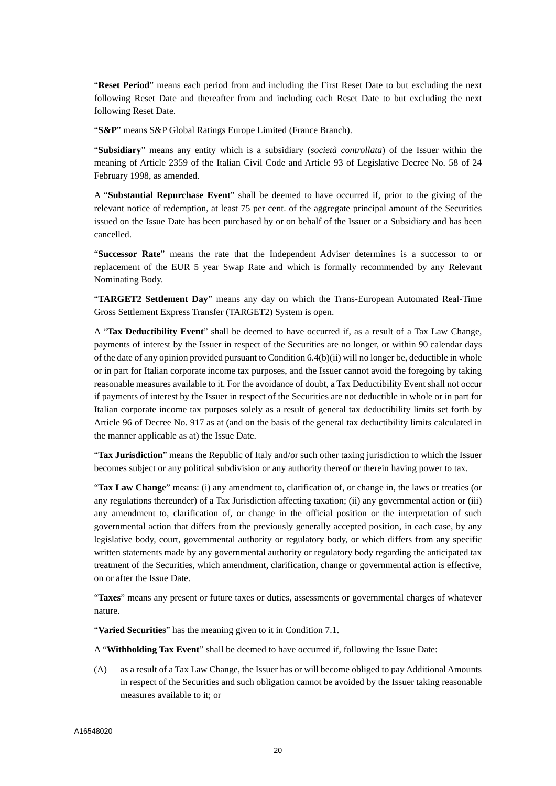"**Reset Period**" means each period from and including the First Reset Date to but excluding the next following Reset Date and thereafter from and including each Reset Date to but excluding the next following Reset Date.

"**S&P**" means S&P Global Ratings Europe Limited (France Branch).

"**Subsidiary**" means any entity which is a subsidiary (*società controllata*) of the Issuer within the meaning of Article 2359 of the Italian Civil Code and Article 93 of Legislative Decree No. 58 of 24 February 1998, as amended.

A "**Substantial Repurchase Event**" shall be deemed to have occurred if, prior to the giving of the relevant notice of redemption, at least 75 per cent. of the aggregate principal amount of the Securities issued on the Issue Date has been purchased by or on behalf of the Issuer or a Subsidiary and has been cancelled.

"**Successor Rate**" means the rate that the Independent Adviser determines is a successor to or replacement of the EUR 5 year Swap Rate and which is formally recommended by any Relevant Nominating Body.

"**TARGET2 Settlement Day**" means any day on which the Trans-European Automated Real-Time Gross Settlement Express Transfer (TARGET2) System is open.

A "**Tax Deductibility Event**" shall be deemed to have occurred if, as a result of a Tax Law Change, payments of interest by the Issuer in respect of the Securities are no longer, or within 90 calendar days of the date of any opinion provided pursuant to Condition 6.4(b)(ii) will no longer be, deductible in whole or in part for Italian corporate income tax purposes, and the Issuer cannot avoid the foregoing by taking reasonable measures available to it. For the avoidance of doubt, a Tax Deductibility Event shall not occur if payments of interest by the Issuer in respect of the Securities are not deductible in whole or in part for Italian corporate income tax purposes solely as a result of general tax deductibility limits set forth by Article 96 of Decree No. 917 as at (and on the basis of the general tax deductibility limits calculated in the manner applicable as at) the Issue Date.

"**Tax Jurisdiction**" means the Republic of Italy and/or such other taxing jurisdiction to which the Issuer becomes subject or any political subdivision or any authority thereof or therein having power to tax.

"**Tax Law Change**" means: (i) any amendment to, clarification of, or change in, the laws or treaties (or any regulations thereunder) of a Tax Jurisdiction affecting taxation; (ii) any governmental action or (iii) any amendment to, clarification of, or change in the official position or the interpretation of such governmental action that differs from the previously generally accepted position, in each case, by any legislative body, court, governmental authority or regulatory body, or which differs from any specific written statements made by any governmental authority or regulatory body regarding the anticipated tax treatment of the Securities, which amendment, clarification, change or governmental action is effective, on or after the Issue Date.

"**Taxes**" means any present or future taxes or duties, assessments or governmental charges of whatever nature.

"**Varied Securities**" has the meaning given to it in Condition 7.1.

A "**Withholding Tax Event**" shall be deemed to have occurred if, following the Issue Date:

(A) as a result of a Tax Law Change, the Issuer has or will become obliged to pay Additional Amounts in respect of the Securities and such obligation cannot be avoided by the Issuer taking reasonable measures available to it; or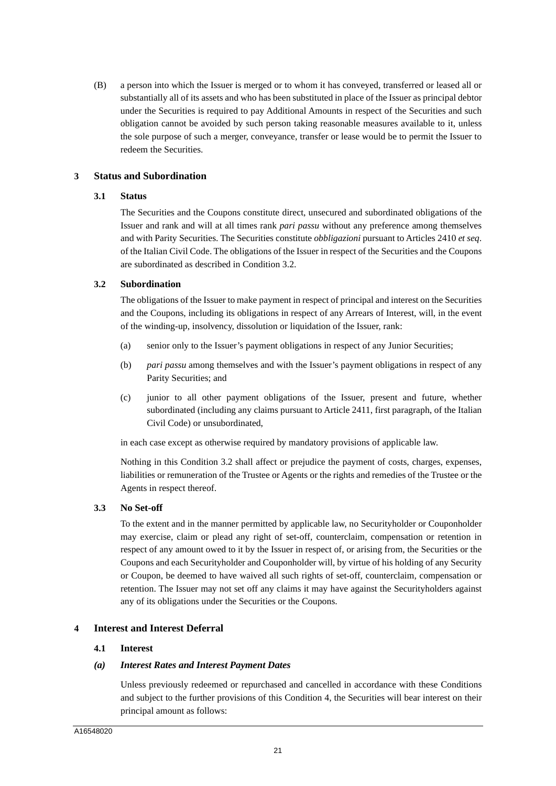(B) a person into which the Issuer is merged or to whom it has conveyed, transferred or leased all or substantially all of its assets and who has been substituted in place of the Issuer as principal debtor under the Securities is required to pay Additional Amounts in respect of the Securities and such obligation cannot be avoided by such person taking reasonable measures available to it, unless the sole purpose of such a merger, conveyance, transfer or lease would be to permit the Issuer to redeem the Securities.

# **3 Status and Subordination**

### **3.1 Status**

The Securities and the Coupons constitute direct, unsecured and subordinated obligations of the Issuer and rank and will at all times rank *pari passu* without any preference among themselves and with Parity Securities. The Securities constitute *obbligazioni* pursuant to Articles 2410 *et seq*. of the Italian Civil Code. The obligations of the Issuer in respect of the Securities and the Coupons are subordinated as described in Condition 3.2.

# **3.2 Subordination**

The obligations of the Issuer to make payment in respect of principal and interest on the Securities and the Coupons, including its obligations in respect of any Arrears of Interest, will, in the event of the winding-up, insolvency, dissolution or liquidation of the Issuer, rank:

- (a) senior only to the Issuer's payment obligations in respect of any Junior Securities;
- (b) *pari passu* among themselves and with the Issuer's payment obligations in respect of any Parity Securities; and
- (c) junior to all other payment obligations of the Issuer, present and future, whether subordinated (including any claims pursuant to Article 2411, first paragraph, of the Italian Civil Code) or unsubordinated,

in each case except as otherwise required by mandatory provisions of applicable law.

Nothing in this Condition 3.2 shall affect or prejudice the payment of costs, charges, expenses, liabilities or remuneration of the Trustee or Agents or the rights and remedies of the Trustee or the Agents in respect thereof.

# **3.3 No Set-off**

To the extent and in the manner permitted by applicable law, no Securityholder or Couponholder may exercise, claim or plead any right of set-off, counterclaim, compensation or retention in respect of any amount owed to it by the Issuer in respect of, or arising from, the Securities or the Coupons and each Securityholder and Couponholder will, by virtue of his holding of any Security or Coupon, be deemed to have waived all such rights of set-off, counterclaim, compensation or retention. The Issuer may not set off any claims it may have against the Securityholders against any of its obligations under the Securities or the Coupons.

# **4 Interest and Interest Deferral**

# **4.1 Interest**

# *(a) Interest Rates and Interest Payment Dates*

Unless previously redeemed or repurchased and cancelled in accordance with these Conditions and subject to the further provisions of this Condition 4, the Securities will bear interest on their principal amount as follows: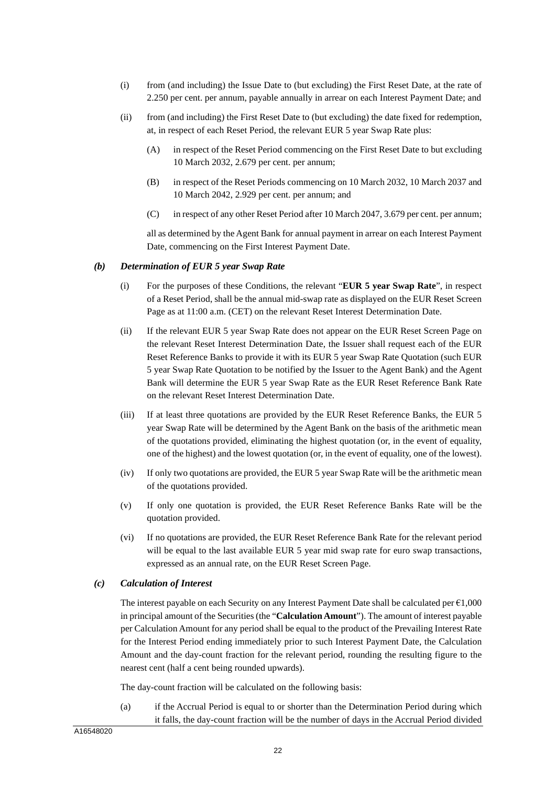- (i) from (and including) the Issue Date to (but excluding) the First Reset Date, at the rate of 2.250 per cent. per annum, payable annually in arrear on each Interest Payment Date; and
- (ii) from (and including) the First Reset Date to (but excluding) the date fixed for redemption, at, in respect of each Reset Period, the relevant EUR 5 year Swap Rate plus:
	- (A) in respect of the Reset Period commencing on the First Reset Date to but excluding 10 March 2032, 2.679 per cent. per annum;
	- (B) in respect of the Reset Periods commencing on 10 March 2032, 10 March 2037 and 10 March 2042, 2.929 per cent. per annum; and
	- (C) in respect of any other Reset Period after 10 March 2047, 3.679 per cent. per annum;

all as determined by the Agent Bank for annual payment in arrear on each Interest Payment Date, commencing on the First Interest Payment Date.

#### *(b) Determination of EUR 5 year Swap Rate*

- (i) For the purposes of these Conditions, the relevant "**EUR 5 year Swap Rate**", in respect of a Reset Period, shall be the annual mid-swap rate as displayed on the EUR Reset Screen Page as at 11:00 a.m. (CET) on the relevant Reset Interest Determination Date.
- (ii) If the relevant EUR 5 year Swap Rate does not appear on the EUR Reset Screen Page on the relevant Reset Interest Determination Date, the Issuer shall request each of the EUR Reset Reference Banks to provide it with its EUR 5 year Swap Rate Quotation (such EUR 5 year Swap Rate Quotation to be notified by the Issuer to the Agent Bank) and the Agent Bank will determine the EUR 5 year Swap Rate as the EUR Reset Reference Bank Rate on the relevant Reset Interest Determination Date.
- (iii) If at least three quotations are provided by the EUR Reset Reference Banks, the EUR 5 year Swap Rate will be determined by the Agent Bank on the basis of the arithmetic mean of the quotations provided, eliminating the highest quotation (or, in the event of equality, one of the highest) and the lowest quotation (or, in the event of equality, one of the lowest).
- (iv) If only two quotations are provided, the EUR 5 year Swap Rate will be the arithmetic mean of the quotations provided.
- (v) If only one quotation is provided, the EUR Reset Reference Banks Rate will be the quotation provided.
- (vi) If no quotations are provided, the EUR Reset Reference Bank Rate for the relevant period will be equal to the last available EUR 5 year mid swap rate for euro swap transactions, expressed as an annual rate, on the EUR Reset Screen Page.

# *(c) Calculation of Interest*

The interest payable on each Security on any Interest Payment Date shall be calculated per  $\epsilon$ 1,000 in principal amount of the Securities (the "**Calculation Amount**"). The amount of interest payable per Calculation Amount for any period shall be equal to the product of the Prevailing Interest Rate for the Interest Period ending immediately prior to such Interest Payment Date, the Calculation Amount and the day-count fraction for the relevant period, rounding the resulting figure to the nearest cent (half a cent being rounded upwards).

The day-count fraction will be calculated on the following basis:

(a) if the Accrual Period is equal to or shorter than the Determination Period during which it falls, the day-count fraction will be the number of days in the Accrual Period divided

A16548020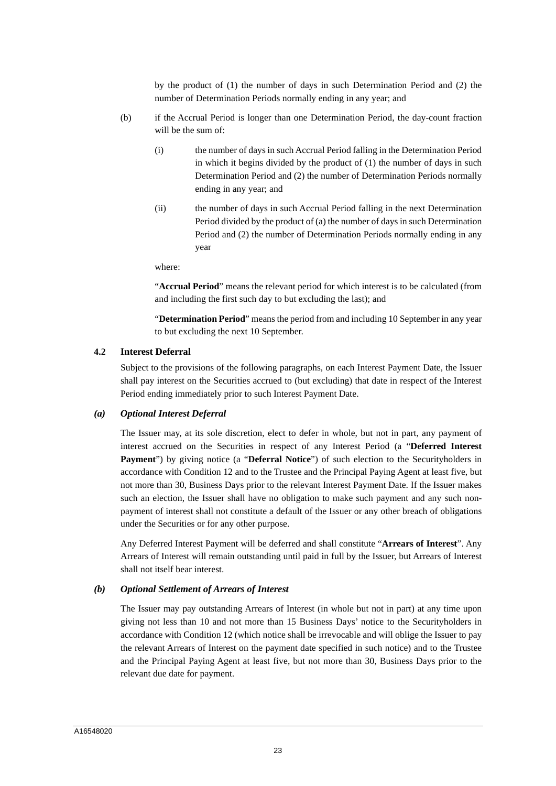by the product of (1) the number of days in such Determination Period and (2) the number of Determination Periods normally ending in any year; and

- (b) if the Accrual Period is longer than one Determination Period, the day-count fraction will be the sum of:
	- (i) the number of days in such Accrual Period falling in the Determination Period in which it begins divided by the product of (1) the number of days in such Determination Period and (2) the number of Determination Periods normally ending in any year; and
	- (ii) the number of days in such Accrual Period falling in the next Determination Period divided by the product of (a) the number of days in such Determination Period and (2) the number of Determination Periods normally ending in any year

where:

"**Accrual Period**" means the relevant period for which interest is to be calculated (from and including the first such day to but excluding the last); and

"**Determination Period**" means the period from and including 10 September in any year to but excluding the next 10 September.

### **4.2 Interest Deferral**

Subject to the provisions of the following paragraphs, on each Interest Payment Date, the Issuer shall pay interest on the Securities accrued to (but excluding) that date in respect of the Interest Period ending immediately prior to such Interest Payment Date.

#### *(a) Optional Interest Deferral*

The Issuer may, at its sole discretion, elect to defer in whole, but not in part, any payment of interest accrued on the Securities in respect of any Interest Period (a "**Deferred Interest Payment**") by giving notice (a "**Deferral Notice**") of such election to the Securityholders in accordance with Condition 12 and to the Trustee and the Principal Paying Agent at least five, but not more than 30, Business Days prior to the relevant Interest Payment Date. If the Issuer makes such an election, the Issuer shall have no obligation to make such payment and any such nonpayment of interest shall not constitute a default of the Issuer or any other breach of obligations under the Securities or for any other purpose.

Any Deferred Interest Payment will be deferred and shall constitute "**Arrears of Interest**". Any Arrears of Interest will remain outstanding until paid in full by the Issuer, but Arrears of Interest shall not itself bear interest.

#### *(b) Optional Settlement of Arrears of Interest*

The Issuer may pay outstanding Arrears of Interest (in whole but not in part) at any time upon giving not less than 10 and not more than 15 Business Days' notice to the Securityholders in accordance with Condition 12 (which notice shall be irrevocable and will oblige the Issuer to pay the relevant Arrears of Interest on the payment date specified in such notice) and to the Trustee and the Principal Paying Agent at least five, but not more than 30, Business Days prior to the relevant due date for payment.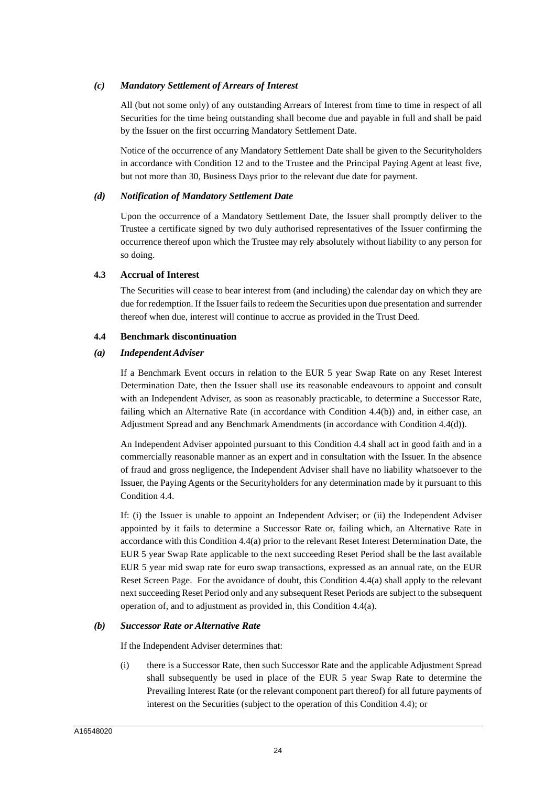# *(c) Mandatory Settlement of Arrears of Interest*

All (but not some only) of any outstanding Arrears of Interest from time to time in respect of all Securities for the time being outstanding shall become due and payable in full and shall be paid by the Issuer on the first occurring Mandatory Settlement Date.

Notice of the occurrence of any Mandatory Settlement Date shall be given to the Securityholders in accordance with Condition 12 and to the Trustee and the Principal Paying Agent at least five, but not more than 30, Business Days prior to the relevant due date for payment.

#### *(d) Notification of Mandatory Settlement Date*

Upon the occurrence of a Mandatory Settlement Date, the Issuer shall promptly deliver to the Trustee a certificate signed by two duly authorised representatives of the Issuer confirming the occurrence thereof upon which the Trustee may rely absolutely without liability to any person for so doing.

### **4.3 Accrual of Interest**

The Securities will cease to bear interest from (and including) the calendar day on which they are due for redemption. If the Issuer fails to redeem the Securities upon due presentation and surrender thereof when due, interest will continue to accrue as provided in the Trust Deed.

### **4.4 Benchmark discontinuation**

### *(a) Independent Adviser*

If a Benchmark Event occurs in relation to the EUR 5 year Swap Rate on any Reset Interest Determination Date, then the Issuer shall use its reasonable endeavours to appoint and consult with an Independent Adviser, as soon as reasonably practicable, to determine a Successor Rate, failing which an Alternative Rate (in accordance with Condition 4.4(b)) and, in either case, an Adjustment Spread and any Benchmark Amendments (in accordance with Condition 4.4(d)).

An Independent Adviser appointed pursuant to this Condition 4.4 shall act in good faith and in a commercially reasonable manner as an expert and in consultation with the Issuer. In the absence of fraud and gross negligence, the Independent Adviser shall have no liability whatsoever to the Issuer, the Paying Agents or the Securityholders for any determination made by it pursuant to this Condition 4.4.

If: (i) the Issuer is unable to appoint an Independent Adviser; or (ii) the Independent Adviser appointed by it fails to determine a Successor Rate or, failing which, an Alternative Rate in accordance with this Condition 4.4(a) prior to the relevant Reset Interest Determination Date, the EUR 5 year Swap Rate applicable to the next succeeding Reset Period shall be the last available EUR 5 year mid swap rate for euro swap transactions, expressed as an annual rate, on the EUR Reset Screen Page. For the avoidance of doubt, this Condition 4.4(a) shall apply to the relevant next succeeding Reset Period only and any subsequent Reset Periods are subject to the subsequent operation of, and to adjustment as provided in, this Condition 4.4(a).

#### *(b) Successor Rate or Alternative Rate*

If the Independent Adviser determines that:

(i) there is a Successor Rate, then such Successor Rate and the applicable Adjustment Spread shall subsequently be used in place of the EUR 5 year Swap Rate to determine the Prevailing Interest Rate (or the relevant component part thereof) for all future payments of interest on the Securities (subject to the operation of this Condition 4.4); or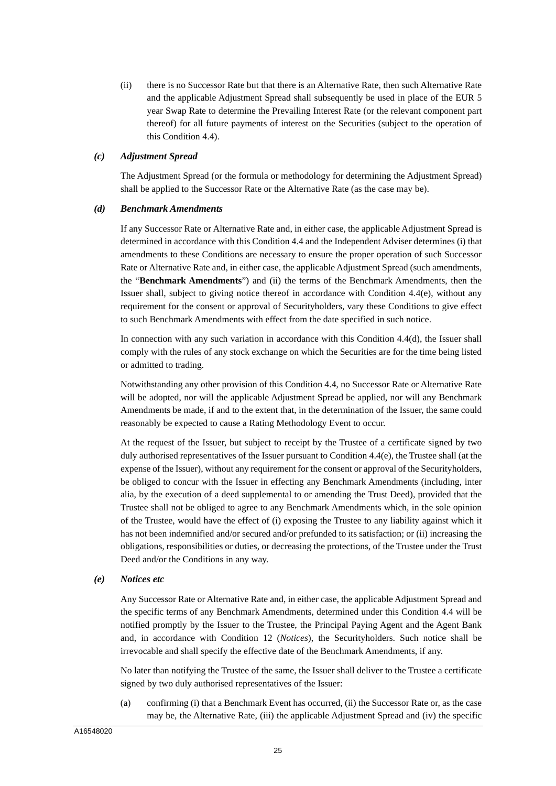(ii) there is no Successor Rate but that there is an Alternative Rate, then such Alternative Rate and the applicable Adjustment Spread shall subsequently be used in place of the EUR 5 year Swap Rate to determine the Prevailing Interest Rate (or the relevant component part thereof) for all future payments of interest on the Securities (subject to the operation of this Condition 4.4).

### *(c) Adjustment Spread*

The Adjustment Spread (or the formula or methodology for determining the Adjustment Spread) shall be applied to the Successor Rate or the Alternative Rate (as the case may be).

#### *(d) Benchmark Amendments*

If any Successor Rate or Alternative Rate and, in either case, the applicable Adjustment Spread is determined in accordance with this Condition 4.4 and the Independent Adviser determines (i) that amendments to these Conditions are necessary to ensure the proper operation of such Successor Rate or Alternative Rate and, in either case, the applicable Adjustment Spread (such amendments, the "**Benchmark Amendments**") and (ii) the terms of the Benchmark Amendments, then the Issuer shall, subject to giving notice thereof in accordance with Condition 4.4(e), without any requirement for the consent or approval of Securityholders, vary these Conditions to give effect to such Benchmark Amendments with effect from the date specified in such notice.

In connection with any such variation in accordance with this Condition 4.4(d), the Issuer shall comply with the rules of any stock exchange on which the Securities are for the time being listed or admitted to trading.

Notwithstanding any other provision of this Condition 4.4, no Successor Rate or Alternative Rate will be adopted, nor will the applicable Adjustment Spread be applied, nor will any Benchmark Amendments be made, if and to the extent that, in the determination of the Issuer, the same could reasonably be expected to cause a Rating Methodology Event to occur.

At the request of the Issuer, but subject to receipt by the Trustee of a certificate signed by two duly authorised representatives of the Issuer pursuant to Condition 4.4(e), the Trustee shall (at the expense of the Issuer), without any requirement for the consent or approval of the Securityholders, be obliged to concur with the Issuer in effecting any Benchmark Amendments (including, inter alia, by the execution of a deed supplemental to or amending the Trust Deed), provided that the Trustee shall not be obliged to agree to any Benchmark Amendments which, in the sole opinion of the Trustee, would have the effect of (i) exposing the Trustee to any liability against which it has not been indemnified and/or secured and/or prefunded to its satisfaction; or (ii) increasing the obligations, responsibilities or duties, or decreasing the protections, of the Trustee under the Trust Deed and/or the Conditions in any way.

#### *(e) Notices etc*

Any Successor Rate or Alternative Rate and, in either case, the applicable Adjustment Spread and the specific terms of any Benchmark Amendments, determined under this Condition 4.4 will be notified promptly by the Issuer to the Trustee, the Principal Paying Agent and the Agent Bank and, in accordance with Condition 12 (*Notices*), the Securityholders. Such notice shall be irrevocable and shall specify the effective date of the Benchmark Amendments, if any.

No later than notifying the Trustee of the same, the Issuer shall deliver to the Trustee a certificate signed by two duly authorised representatives of the Issuer:

(a) confirming (i) that a Benchmark Event has occurred, (ii) the Successor Rate or, as the case may be, the Alternative Rate, (iii) the applicable Adjustment Spread and (iv) the specific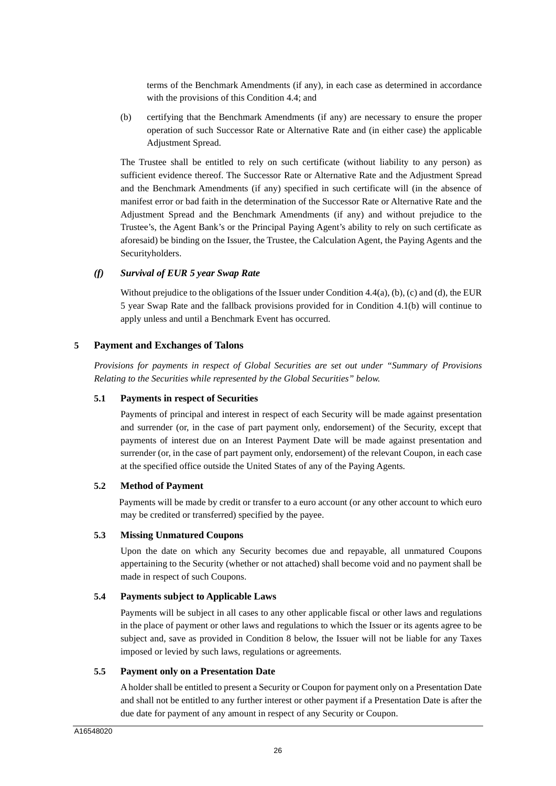terms of the Benchmark Amendments (if any), in each case as determined in accordance with the provisions of this Condition 4.4; and

(b) certifying that the Benchmark Amendments (if any) are necessary to ensure the proper operation of such Successor Rate or Alternative Rate and (in either case) the applicable Adjustment Spread.

The Trustee shall be entitled to rely on such certificate (without liability to any person) as sufficient evidence thereof. The Successor Rate or Alternative Rate and the Adjustment Spread and the Benchmark Amendments (if any) specified in such certificate will (in the absence of manifest error or bad faith in the determination of the Successor Rate or Alternative Rate and the Adjustment Spread and the Benchmark Amendments (if any) and without prejudice to the Trustee's, the Agent Bank's or the Principal Paying Agent's ability to rely on such certificate as aforesaid) be binding on the Issuer, the Trustee, the Calculation Agent, the Paying Agents and the Securityholders.

### *(f) Survival of EUR 5 year Swap Rate*

Without prejudice to the obligations of the Issuer under Condition 4.4(a), (b), (c) and (d), the EUR 5 year Swap Rate and the fallback provisions provided for in Condition 4.1(b) will continue to apply unless and until a Benchmark Event has occurred.

### **5 Payment and Exchanges of Talons**

*Provisions for payments in respect of Global Securities are set out under "Summary of Provisions Relating to the Securities while represented by the Global Securities" below.* 

### **5.1 Payments in respect of Securities**

Payments of principal and interest in respect of each Security will be made against presentation and surrender (or, in the case of part payment only, endorsement) of the Security, except that payments of interest due on an Interest Payment Date will be made against presentation and surrender (or, in the case of part payment only, endorsement) of the relevant Coupon, in each case at the specified office outside the United States of any of the Paying Agents.

#### **5.2 Method of Payment**

Payments will be made by credit or transfer to a euro account (or any other account to which euro may be credited or transferred) specified by the payee.

#### **5.3 Missing Unmatured Coupons**

Upon the date on which any Security becomes due and repayable, all unmatured Coupons appertaining to the Security (whether or not attached) shall become void and no payment shall be made in respect of such Coupons.

#### **5.4 Payments subject to Applicable Laws**

Payments will be subject in all cases to any other applicable fiscal or other laws and regulations in the place of payment or other laws and regulations to which the Issuer or its agents agree to be subject and, save as provided in Condition 8 below, the Issuer will not be liable for any Taxes imposed or levied by such laws, regulations or agreements.

#### **5.5 Payment only on a Presentation Date**

A holder shall be entitled to present a Security or Coupon for payment only on a Presentation Date and shall not be entitled to any further interest or other payment if a Presentation Date is after the due date for payment of any amount in respect of any Security or Coupon.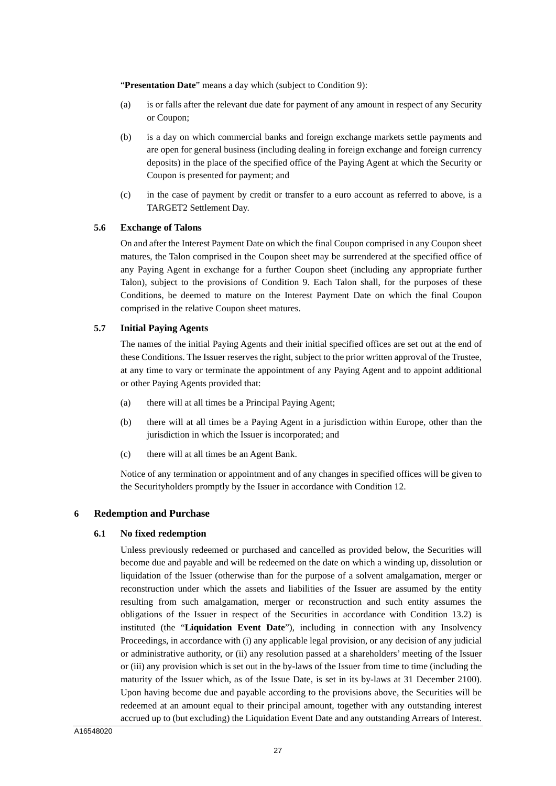"**Presentation Date**" means a day which (subject to Condition 9):

- (a) is or falls after the relevant due date for payment of any amount in respect of any Security or Coupon;
- (b) is a day on which commercial banks and foreign exchange markets settle payments and are open for general business (including dealing in foreign exchange and foreign currency deposits) in the place of the specified office of the Paying Agent at which the Security or Coupon is presented for payment; and
- (c) in the case of payment by credit or transfer to a euro account as referred to above, is a TARGET2 Settlement Day.

### **5.6 Exchange of Talons**

On and after the Interest Payment Date on which the final Coupon comprised in any Coupon sheet matures, the Talon comprised in the Coupon sheet may be surrendered at the specified office of any Paying Agent in exchange for a further Coupon sheet (including any appropriate further Talon), subject to the provisions of Condition 9. Each Talon shall, for the purposes of these Conditions, be deemed to mature on the Interest Payment Date on which the final Coupon comprised in the relative Coupon sheet matures.

#### **5.7 Initial Paying Agents**

The names of the initial Paying Agents and their initial specified offices are set out at the end of these Conditions. The Issuer reserves the right, subject to the prior written approval of the Trustee, at any time to vary or terminate the appointment of any Paying Agent and to appoint additional or other Paying Agents provided that:

- (a) there will at all times be a Principal Paying Agent;
- (b) there will at all times be a Paying Agent in a jurisdiction within Europe, other than the jurisdiction in which the Issuer is incorporated; and
- (c) there will at all times be an Agent Bank.

Notice of any termination or appointment and of any changes in specified offices will be given to the Securityholders promptly by the Issuer in accordance with Condition 12.

# **6 Redemption and Purchase**

#### **6.1 No fixed redemption**

Unless previously redeemed or purchased and cancelled as provided below, the Securities will become due and payable and will be redeemed on the date on which a winding up, dissolution or liquidation of the Issuer (otherwise than for the purpose of a solvent amalgamation, merger or reconstruction under which the assets and liabilities of the Issuer are assumed by the entity resulting from such amalgamation, merger or reconstruction and such entity assumes the obligations of the Issuer in respect of the Securities in accordance with Condition 13.2) is instituted (the "**Liquidation Event Date**"), including in connection with any Insolvency Proceedings, in accordance with (i) any applicable legal provision, or any decision of any judicial or administrative authority, or (ii) any resolution passed at a shareholders' meeting of the Issuer or (iii) any provision which is set out in the by-laws of the Issuer from time to time (including the maturity of the Issuer which, as of the Issue Date, is set in its by-laws at 31 December 2100). Upon having become due and payable according to the provisions above, the Securities will be redeemed at an amount equal to their principal amount, together with any outstanding interest accrued up to (but excluding) the Liquidation Event Date and any outstanding Arrears of Interest.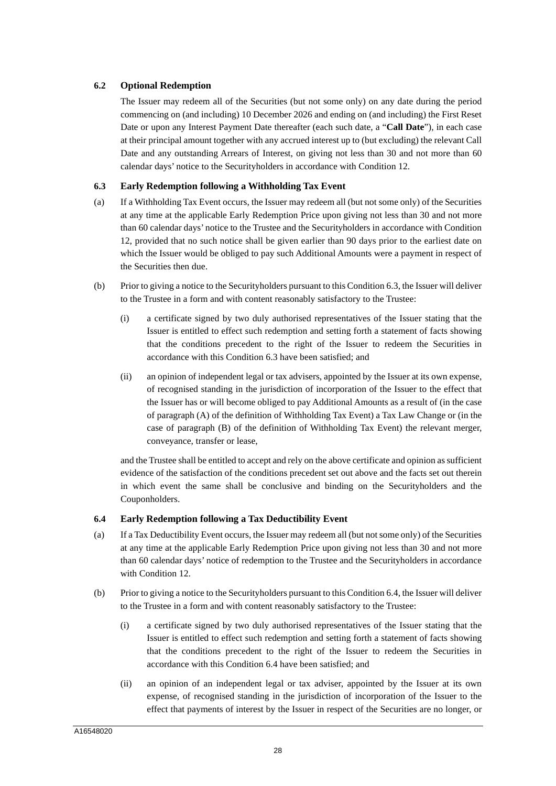# **6.2 Optional Redemption**

The Issuer may redeem all of the Securities (but not some only) on any date during the period commencing on (and including) 10 December 2026 and ending on (and including) the First Reset Date or upon any Interest Payment Date thereafter (each such date, a "**Call Date**"), in each case at their principal amount together with any accrued interest up to (but excluding) the relevant Call Date and any outstanding Arrears of Interest, on giving not less than 30 and not more than 60 calendar days' notice to the Securityholders in accordance with Condition 12.

# **6.3 Early Redemption following a Withholding Tax Event**

- (a) If a Withholding Tax Event occurs, the Issuer may redeem all (but not some only) of the Securities at any time at the applicable Early Redemption Price upon giving not less than 30 and not more than 60 calendar days' notice to the Trustee and the Securityholders in accordance with Condition 12, provided that no such notice shall be given earlier than 90 days prior to the earliest date on which the Issuer would be obliged to pay such Additional Amounts were a payment in respect of the Securities then due.
- (b) Prior to giving a notice to the Securityholders pursuant to this Condition 6.3, the Issuer will deliver to the Trustee in a form and with content reasonably satisfactory to the Trustee:
	- (i) a certificate signed by two duly authorised representatives of the Issuer stating that the Issuer is entitled to effect such redemption and setting forth a statement of facts showing that the conditions precedent to the right of the Issuer to redeem the Securities in accordance with this Condition 6.3 have been satisfied; and
	- (ii) an opinion of independent legal or tax advisers, appointed by the Issuer at its own expense, of recognised standing in the jurisdiction of incorporation of the Issuer to the effect that the Issuer has or will become obliged to pay Additional Amounts as a result of (in the case of paragraph (A) of the definition of Withholding Tax Event) a Tax Law Change or (in the case of paragraph (B) of the definition of Withholding Tax Event) the relevant merger, conveyance, transfer or lease,

and the Trustee shall be entitled to accept and rely on the above certificate and opinion as sufficient evidence of the satisfaction of the conditions precedent set out above and the facts set out therein in which event the same shall be conclusive and binding on the Securityholders and the Couponholders.

# **6.4 Early Redemption following a Tax Deductibility Event**

- (a) If a Tax Deductibility Event occurs, the Issuer may redeem all (but not some only) of the Securities at any time at the applicable Early Redemption Price upon giving not less than 30 and not more than 60 calendar days' notice of redemption to the Trustee and the Securityholders in accordance with Condition 12.
- (b) Prior to giving a notice to the Securityholders pursuant to this Condition 6.4, the Issuer will deliver to the Trustee in a form and with content reasonably satisfactory to the Trustee:
	- (i) a certificate signed by two duly authorised representatives of the Issuer stating that the Issuer is entitled to effect such redemption and setting forth a statement of facts showing that the conditions precedent to the right of the Issuer to redeem the Securities in accordance with this Condition 6.4 have been satisfied; and
	- (ii) an opinion of an independent legal or tax adviser, appointed by the Issuer at its own expense, of recognised standing in the jurisdiction of incorporation of the Issuer to the effect that payments of interest by the Issuer in respect of the Securities are no longer, or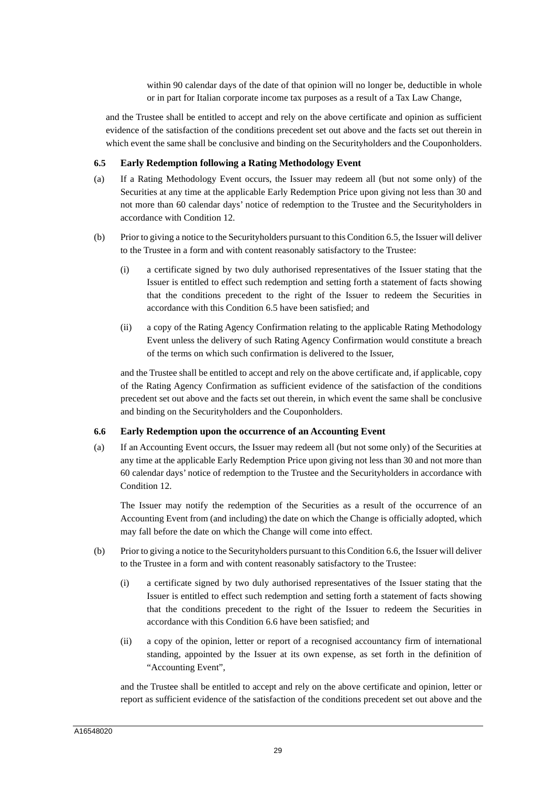within 90 calendar days of the date of that opinion will no longer be, deductible in whole or in part for Italian corporate income tax purposes as a result of a Tax Law Change,

and the Trustee shall be entitled to accept and rely on the above certificate and opinion as sufficient evidence of the satisfaction of the conditions precedent set out above and the facts set out therein in which event the same shall be conclusive and binding on the Securityholders and the Couponholders.

# **6.5 Early Redemption following a Rating Methodology Event**

- (a) If a Rating Methodology Event occurs, the Issuer may redeem all (but not some only) of the Securities at any time at the applicable Early Redemption Price upon giving not less than 30 and not more than 60 calendar days' notice of redemption to the Trustee and the Securityholders in accordance with Condition 12.
- (b) Prior to giving a notice to the Securityholders pursuant to this Condition 6.5, the Issuer will deliver to the Trustee in a form and with content reasonably satisfactory to the Trustee:
	- (i) a certificate signed by two duly authorised representatives of the Issuer stating that the Issuer is entitled to effect such redemption and setting forth a statement of facts showing that the conditions precedent to the right of the Issuer to redeem the Securities in accordance with this Condition 6.5 have been satisfied; and
	- (ii) a copy of the Rating Agency Confirmation relating to the applicable Rating Methodology Event unless the delivery of such Rating Agency Confirmation would constitute a breach of the terms on which such confirmation is delivered to the Issuer,

and the Trustee shall be entitled to accept and rely on the above certificate and, if applicable, copy of the Rating Agency Confirmation as sufficient evidence of the satisfaction of the conditions precedent set out above and the facts set out therein, in which event the same shall be conclusive and binding on the Securityholders and the Couponholders.

# **6.6 Early Redemption upon the occurrence of an Accounting Event**

(a) If an Accounting Event occurs, the Issuer may redeem all (but not some only) of the Securities at any time at the applicable Early Redemption Price upon giving not less than 30 and not more than 60 calendar days' notice of redemption to the Trustee and the Securityholders in accordance with Condition 12.

The Issuer may notify the redemption of the Securities as a result of the occurrence of an Accounting Event from (and including) the date on which the Change is officially adopted, which may fall before the date on which the Change will come into effect.

- (b) Prior to giving a notice to the Securityholders pursuant to this Condition 6.6, the Issuer will deliver to the Trustee in a form and with content reasonably satisfactory to the Trustee:
	- (i) a certificate signed by two duly authorised representatives of the Issuer stating that the Issuer is entitled to effect such redemption and setting forth a statement of facts showing that the conditions precedent to the right of the Issuer to redeem the Securities in accordance with this Condition 6.6 have been satisfied; and
	- (ii) a copy of the opinion, letter or report of a recognised accountancy firm of international standing, appointed by the Issuer at its own expense, as set forth in the definition of "Accounting Event",

and the Trustee shall be entitled to accept and rely on the above certificate and opinion, letter or report as sufficient evidence of the satisfaction of the conditions precedent set out above and the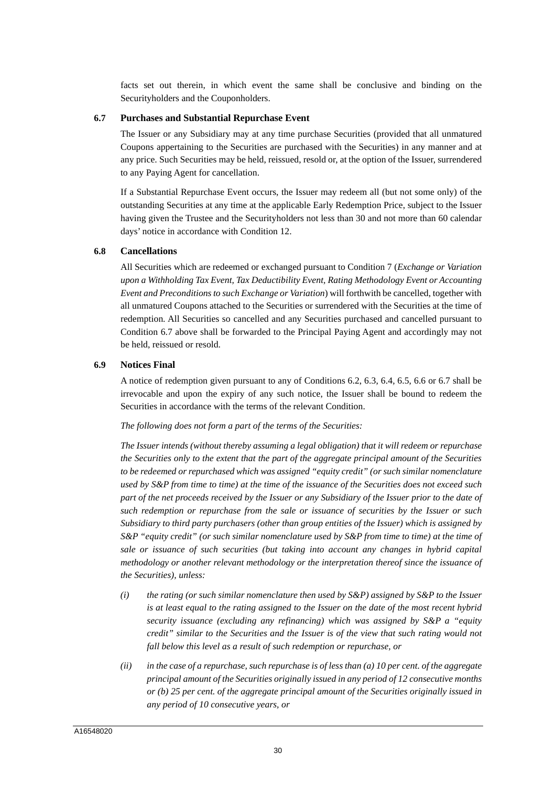facts set out therein, in which event the same shall be conclusive and binding on the Securityholders and the Couponholders.

### **6.7 Purchases and Substantial Repurchase Event**

The Issuer or any Subsidiary may at any time purchase Securities (provided that all unmatured Coupons appertaining to the Securities are purchased with the Securities) in any manner and at any price. Such Securities may be held, reissued, resold or, at the option of the Issuer, surrendered to any Paying Agent for cancellation.

If a Substantial Repurchase Event occurs, the Issuer may redeem all (but not some only) of the outstanding Securities at any time at the applicable Early Redemption Price, subject to the Issuer having given the Trustee and the Securityholders not less than 30 and not more than 60 calendar days' notice in accordance with Condition 12.

# **6.8 Cancellations**

All Securities which are redeemed or exchanged pursuant to Condition 7 (*Exchange or Variation upon a Withholding Tax Event, Tax Deductibility Event, Rating Methodology Event or Accounting Event and Preconditions to such Exchange or Variation*) will forthwith be cancelled, together with all unmatured Coupons attached to the Securities or surrendered with the Securities at the time of redemption. All Securities so cancelled and any Securities purchased and cancelled pursuant to Condition 6.7 above shall be forwarded to the Principal Paying Agent and accordingly may not be held, reissued or resold.

# **6.9 Notices Final**

A notice of redemption given pursuant to any of Conditions 6.2, 6.3, 6.4, 6.5, 6.6 or 6.7 shall be irrevocable and upon the expiry of any such notice, the Issuer shall be bound to redeem the Securities in accordance with the terms of the relevant Condition.

# *The following does not form a part of the terms of the Securities:*

*The Issuer intends (without thereby assuming a legal obligation) that it will redeem or repurchase the Securities only to the extent that the part of the aggregate principal amount of the Securities to be redeemed or repurchased which was assigned "equity credit" (or such similar nomenclature used by S&P from time to time) at the time of the issuance of the Securities does not exceed such part of the net proceeds received by the Issuer or any Subsidiary of the Issuer prior to the date of such redemption or repurchase from the sale or issuance of securities by the Issuer or such Subsidiary to third party purchasers (other than group entities of the Issuer) which is assigned by S&P "equity credit" (or such similar nomenclature used by S&P from time to time) at the time of sale or issuance of such securities (but taking into account any changes in hybrid capital methodology or another relevant methodology or the interpretation thereof since the issuance of the Securities), unless:* 

- *(i) the rating (or such similar nomenclature then used by S&P) assigned by S&P to the Issuer is at least equal to the rating assigned to the Issuer on the date of the most recent hybrid security issuance (excluding any refinancing) which was assigned by S&P a "equity credit" similar to the Securities and the Issuer is of the view that such rating would not fall below this level as a result of such redemption or repurchase, or*
- *(ii) in the case of a repurchase, such repurchase is of less than (a) 10 per cent. of the aggregate principal amount of the Securities originally issued in any period of 12 consecutive months or (b) 25 per cent. of the aggregate principal amount of the Securities originally issued in any period of 10 consecutive years, or*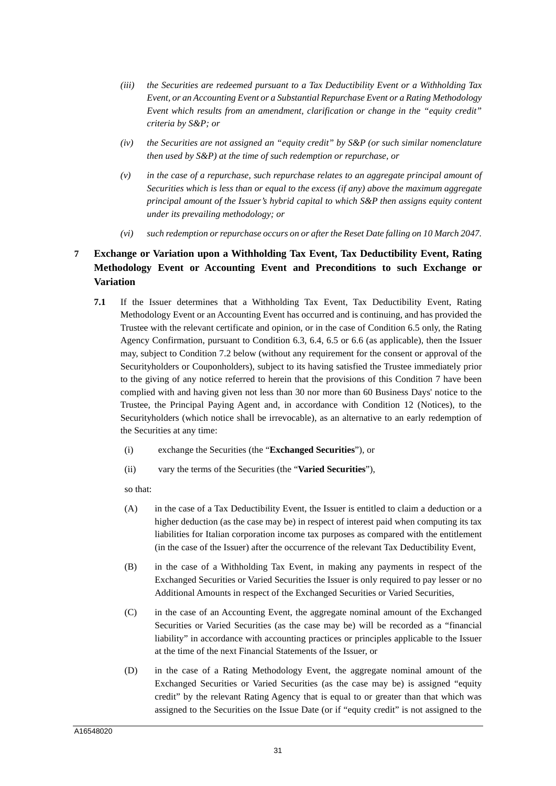- *(iii) the Securities are redeemed pursuant to a Tax Deductibility Event or a Withholding Tax Event, or an Accounting Event or a Substantial Repurchase Event or a Rating Methodology Event which results from an amendment, clarification or change in the "equity credit" criteria by S&P; or*
- *(iv) the Securities are not assigned an "equity credit" by S&P (or such similar nomenclature then used by S&P) at the time of such redemption or repurchase, or*
- *(v) in the case of a repurchase, such repurchase relates to an aggregate principal amount of Securities which is less than or equal to the excess (if any) above the maximum aggregate principal amount of the Issuer's hybrid capital to which S&P then assigns equity content under its prevailing methodology; or*
- *(vi) such redemption or repurchase occurs on or after the Reset Date falling on 10 March 2047.*

# **7 Exchange or Variation upon a Withholding Tax Event, Tax Deductibility Event, Rating Methodology Event or Accounting Event and Preconditions to such Exchange or Variation**

- **7.1** If the Issuer determines that a Withholding Tax Event, Tax Deductibility Event, Rating Methodology Event or an Accounting Event has occurred and is continuing, and has provided the Trustee with the relevant certificate and opinion, or in the case of Condition 6.5 only, the Rating Agency Confirmation, pursuant to Condition 6.3, 6.4, 6.5 or 6.6 (as applicable), then the Issuer may, subject to Condition 7.2 below (without any requirement for the consent or approval of the Securityholders or Couponholders), subject to its having satisfied the Trustee immediately prior to the giving of any notice referred to herein that the provisions of this Condition 7 have been complied with and having given not less than 30 nor more than 60 Business Days' notice to the Trustee, the Principal Paying Agent and, in accordance with Condition 12 (Notices), to the Securityholders (which notice shall be irrevocable), as an alternative to an early redemption of the Securities at any time:
	- (i) exchange the Securities (the "**Exchanged Securities**"), or
	- (ii) vary the terms of the Securities (the "**Varied Securities**"),

so that:

- (A) in the case of a Tax Deductibility Event, the Issuer is entitled to claim a deduction or a higher deduction (as the case may be) in respect of interest paid when computing its tax liabilities for Italian corporation income tax purposes as compared with the entitlement (in the case of the Issuer) after the occurrence of the relevant Tax Deductibility Event,
- (B) in the case of a Withholding Tax Event, in making any payments in respect of the Exchanged Securities or Varied Securities the Issuer is only required to pay lesser or no Additional Amounts in respect of the Exchanged Securities or Varied Securities,
- (C) in the case of an Accounting Event, the aggregate nominal amount of the Exchanged Securities or Varied Securities (as the case may be) will be recorded as a "financial liability" in accordance with accounting practices or principles applicable to the Issuer at the time of the next Financial Statements of the Issuer, or
- (D) in the case of a Rating Methodology Event, the aggregate nominal amount of the Exchanged Securities or Varied Securities (as the case may be) is assigned "equity credit" by the relevant Rating Agency that is equal to or greater than that which was assigned to the Securities on the Issue Date (or if "equity credit" is not assigned to the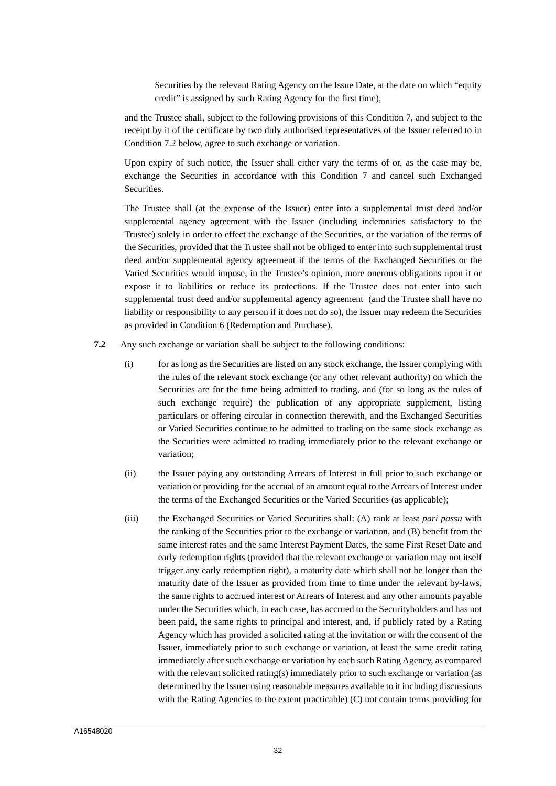Securities by the relevant Rating Agency on the Issue Date, at the date on which "equity credit" is assigned by such Rating Agency for the first time),

and the Trustee shall, subject to the following provisions of this Condition 7, and subject to the receipt by it of the certificate by two duly authorised representatives of the Issuer referred to in Condition 7.2 below, agree to such exchange or variation.

Upon expiry of such notice, the Issuer shall either vary the terms of or, as the case may be, exchange the Securities in accordance with this Condition 7 and cancel such Exchanged Securities.

The Trustee shall (at the expense of the Issuer) enter into a supplemental trust deed and/or supplemental agency agreement with the Issuer (including indemnities satisfactory to the Trustee) solely in order to effect the exchange of the Securities, or the variation of the terms of the Securities, provided that the Trustee shall not be obliged to enter into such supplemental trust deed and/or supplemental agency agreement if the terms of the Exchanged Securities or the Varied Securities would impose, in the Trustee's opinion, more onerous obligations upon it or expose it to liabilities or reduce its protections. If the Trustee does not enter into such supplemental trust deed and/or supplemental agency agreement (and the Trustee shall have no liability or responsibility to any person if it does not do so), the Issuer may redeem the Securities as provided in Condition 6 (Redemption and Purchase).

- **7.2** Any such exchange or variation shall be subject to the following conditions:
	- (i) for as long as the Securities are listed on any stock exchange, the Issuer complying with the rules of the relevant stock exchange (or any other relevant authority) on which the Securities are for the time being admitted to trading, and (for so long as the rules of such exchange require) the publication of any appropriate supplement, listing particulars or offering circular in connection therewith, and the Exchanged Securities or Varied Securities continue to be admitted to trading on the same stock exchange as the Securities were admitted to trading immediately prior to the relevant exchange or variation;
	- (ii) the Issuer paying any outstanding Arrears of Interest in full prior to such exchange or variation or providing for the accrual of an amount equal to the Arrears of Interest under the terms of the Exchanged Securities or the Varied Securities (as applicable);
	- (iii) the Exchanged Securities or Varied Securities shall: (A) rank at least *pari passu* with the ranking of the Securities prior to the exchange or variation, and (B) benefit from the same interest rates and the same Interest Payment Dates, the same First Reset Date and early redemption rights (provided that the relevant exchange or variation may not itself trigger any early redemption right), a maturity date which shall not be longer than the maturity date of the Issuer as provided from time to time under the relevant by-laws, the same rights to accrued interest or Arrears of Interest and any other amounts payable under the Securities which, in each case, has accrued to the Securityholders and has not been paid, the same rights to principal and interest, and, if publicly rated by a Rating Agency which has provided a solicited rating at the invitation or with the consent of the Issuer, immediately prior to such exchange or variation, at least the same credit rating immediately after such exchange or variation by each such Rating Agency, as compared with the relevant solicited rating(s) immediately prior to such exchange or variation (as determined by the Issuer using reasonable measures available to it including discussions with the Rating Agencies to the extent practicable) (C) not contain terms providing for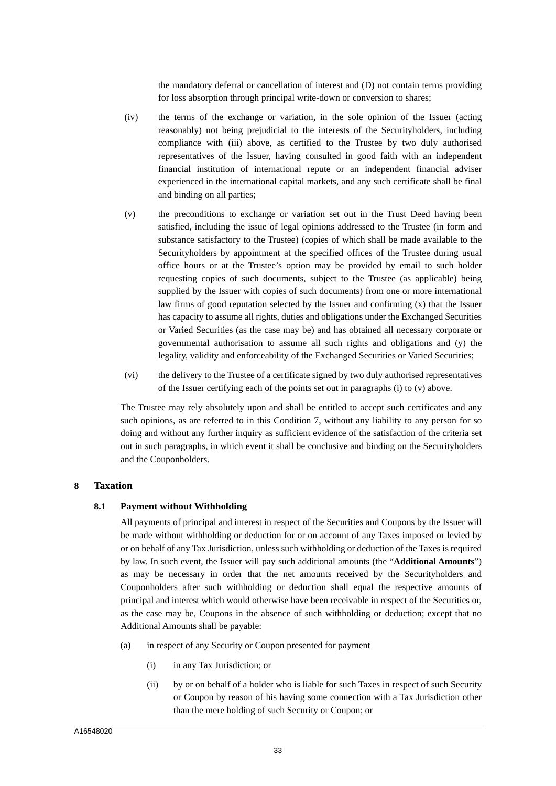the mandatory deferral or cancellation of interest and (D) not contain terms providing for loss absorption through principal write-down or conversion to shares;

- (iv) the terms of the exchange or variation, in the sole opinion of the Issuer (acting reasonably) not being prejudicial to the interests of the Securityholders, including compliance with (iii) above, as certified to the Trustee by two duly authorised representatives of the Issuer, having consulted in good faith with an independent financial institution of international repute or an independent financial adviser experienced in the international capital markets, and any such certificate shall be final and binding on all parties;
- (v) the preconditions to exchange or variation set out in the Trust Deed having been satisfied, including the issue of legal opinions addressed to the Trustee (in form and substance satisfactory to the Trustee) (copies of which shall be made available to the Securityholders by appointment at the specified offices of the Trustee during usual office hours or at the Trustee's option may be provided by email to such holder requesting copies of such documents, subject to the Trustee (as applicable) being supplied by the Issuer with copies of such documents) from one or more international law firms of good reputation selected by the Issuer and confirming (x) that the Issuer has capacity to assume all rights, duties and obligations under the Exchanged Securities or Varied Securities (as the case may be) and has obtained all necessary corporate or governmental authorisation to assume all such rights and obligations and (y) the legality, validity and enforceability of the Exchanged Securities or Varied Securities;
- (vi) the delivery to the Trustee of a certificate signed by two duly authorised representatives of the Issuer certifying each of the points set out in paragraphs (i) to (v) above.

The Trustee may rely absolutely upon and shall be entitled to accept such certificates and any such opinions, as are referred to in this Condition 7, without any liability to any person for so doing and without any further inquiry as sufficient evidence of the satisfaction of the criteria set out in such paragraphs, in which event it shall be conclusive and binding on the Securityholders and the Couponholders.

# **8 Taxation**

# **8.1 Payment without Withholding**

All payments of principal and interest in respect of the Securities and Coupons by the Issuer will be made without withholding or deduction for or on account of any Taxes imposed or levied by or on behalf of any Tax Jurisdiction, unless such withholding or deduction of the Taxes is required by law. In such event, the Issuer will pay such additional amounts (the "**Additional Amounts**") as may be necessary in order that the net amounts received by the Securityholders and Couponholders after such withholding or deduction shall equal the respective amounts of principal and interest which would otherwise have been receivable in respect of the Securities or, as the case may be, Coupons in the absence of such withholding or deduction; except that no Additional Amounts shall be payable:

- (a) in respect of any Security or Coupon presented for payment
	- (i) in any Tax Jurisdiction; or
	- (ii) by or on behalf of a holder who is liable for such Taxes in respect of such Security or Coupon by reason of his having some connection with a Tax Jurisdiction other than the mere holding of such Security or Coupon; or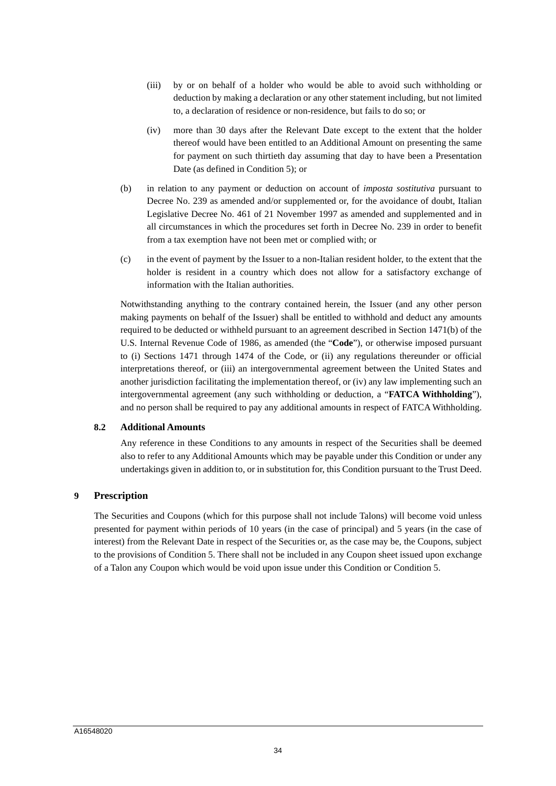- (iii) by or on behalf of a holder who would be able to avoid such withholding or deduction by making a declaration or any other statement including, but not limited to, a declaration of residence or non-residence, but fails to do so; or
- (iv) more than 30 days after the Relevant Date except to the extent that the holder thereof would have been entitled to an Additional Amount on presenting the same for payment on such thirtieth day assuming that day to have been a Presentation Date (as defined in Condition 5); or
- (b) in relation to any payment or deduction on account of *imposta sostitutiva* pursuant to Decree No. 239 as amended and/or supplemented or, for the avoidance of doubt, Italian Legislative Decree No. 461 of 21 November 1997 as amended and supplemented and in all circumstances in which the procedures set forth in Decree No. 239 in order to benefit from a tax exemption have not been met or complied with; or
- (c) in the event of payment by the Issuer to a non-Italian resident holder, to the extent that the holder is resident in a country which does not allow for a satisfactory exchange of information with the Italian authorities.

Notwithstanding anything to the contrary contained herein, the Issuer (and any other person making payments on behalf of the Issuer) shall be entitled to withhold and deduct any amounts required to be deducted or withheld pursuant to an agreement described in Section 1471(b) of the U.S. Internal Revenue Code of 1986, as amended (the "**Code**"), or otherwise imposed pursuant to (i) Sections 1471 through 1474 of the Code, or (ii) any regulations thereunder or official interpretations thereof, or (iii) an intergovernmental agreement between the United States and another jurisdiction facilitating the implementation thereof, or (iv) any law implementing such an intergovernmental agreement (any such withholding or deduction, a "**FATCA Withholding**"), and no person shall be required to pay any additional amounts in respect of FATCA Withholding.

#### **8.2 Additional Amounts**

Any reference in these Conditions to any amounts in respect of the Securities shall be deemed also to refer to any Additional Amounts which may be payable under this Condition or under any undertakings given in addition to, or in substitution for, this Condition pursuant to the Trust Deed.

# **9 Prescription**

The Securities and Coupons (which for this purpose shall not include Talons) will become void unless presented for payment within periods of 10 years (in the case of principal) and 5 years (in the case of interest) from the Relevant Date in respect of the Securities or, as the case may be, the Coupons, subject to the provisions of Condition 5. There shall not be included in any Coupon sheet issued upon exchange of a Talon any Coupon which would be void upon issue under this Condition or Condition 5.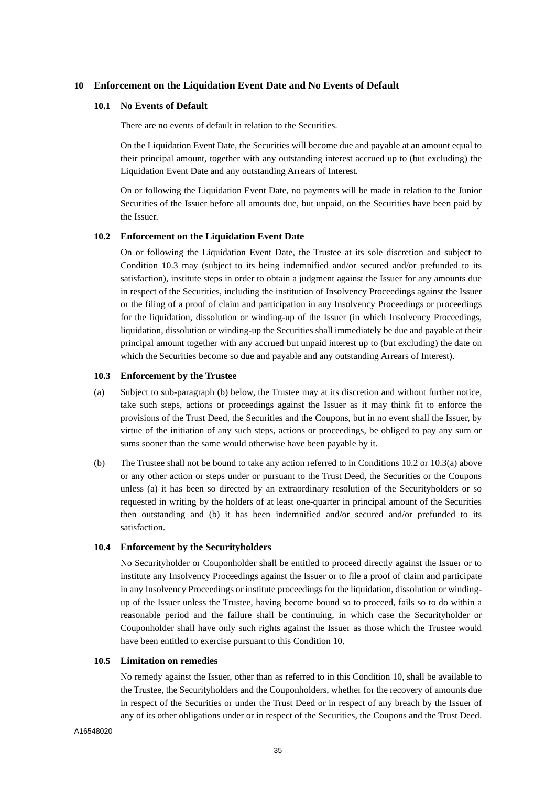### **10 Enforcement on the Liquidation Event Date and No Events of Default**

#### **10.1 No Events of Default**

There are no events of default in relation to the Securities.

On the Liquidation Event Date, the Securities will become due and payable at an amount equal to their principal amount, together with any outstanding interest accrued up to (but excluding) the Liquidation Event Date and any outstanding Arrears of Interest.

On or following the Liquidation Event Date, no payments will be made in relation to the Junior Securities of the Issuer before all amounts due, but unpaid, on the Securities have been paid by the Issuer.

#### **10.2 Enforcement on the Liquidation Event Date**

On or following the Liquidation Event Date, the Trustee at its sole discretion and subject to Condition 10.3 may (subject to its being indemnified and/or secured and/or prefunded to its satisfaction), institute steps in order to obtain a judgment against the Issuer for any amounts due in respect of the Securities, including the institution of Insolvency Proceedings against the Issuer or the filing of a proof of claim and participation in any Insolvency Proceedings or proceedings for the liquidation, dissolution or winding-up of the Issuer (in which Insolvency Proceedings, liquidation, dissolution or winding-up the Securities shall immediately be due and payable at their principal amount together with any accrued but unpaid interest up to (but excluding) the date on which the Securities become so due and payable and any outstanding Arrears of Interest).

#### **10.3 Enforcement by the Trustee**

- (a) Subject to sub-paragraph (b) below, the Trustee may at its discretion and without further notice, take such steps, actions or proceedings against the Issuer as it may think fit to enforce the provisions of the Trust Deed, the Securities and the Coupons, but in no event shall the Issuer, by virtue of the initiation of any such steps, actions or proceedings, be obliged to pay any sum or sums sooner than the same would otherwise have been payable by it.
- (b) The Trustee shall not be bound to take any action referred to in Conditions 10.2 or 10.3(a) above or any other action or steps under or pursuant to the Trust Deed, the Securities or the Coupons unless (a) it has been so directed by an extraordinary resolution of the Securityholders or so requested in writing by the holders of at least one-quarter in principal amount of the Securities then outstanding and (b) it has been indemnified and/or secured and/or prefunded to its satisfaction.

#### **10.4 Enforcement by the Securityholders**

No Securityholder or Couponholder shall be entitled to proceed directly against the Issuer or to institute any Insolvency Proceedings against the Issuer or to file a proof of claim and participate in any Insolvency Proceedings or institute proceedings for the liquidation, dissolution or windingup of the Issuer unless the Trustee, having become bound so to proceed, fails so to do within a reasonable period and the failure shall be continuing, in which case the Securityholder or Couponholder shall have only such rights against the Issuer as those which the Trustee would have been entitled to exercise pursuant to this Condition 10.

# **10.5 Limitation on remedies**

No remedy against the Issuer, other than as referred to in this Condition 10, shall be available to the Trustee, the Securityholders and the Couponholders, whether for the recovery of amounts due in respect of the Securities or under the Trust Deed or in respect of any breach by the Issuer of any of its other obligations under or in respect of the Securities, the Coupons and the Trust Deed.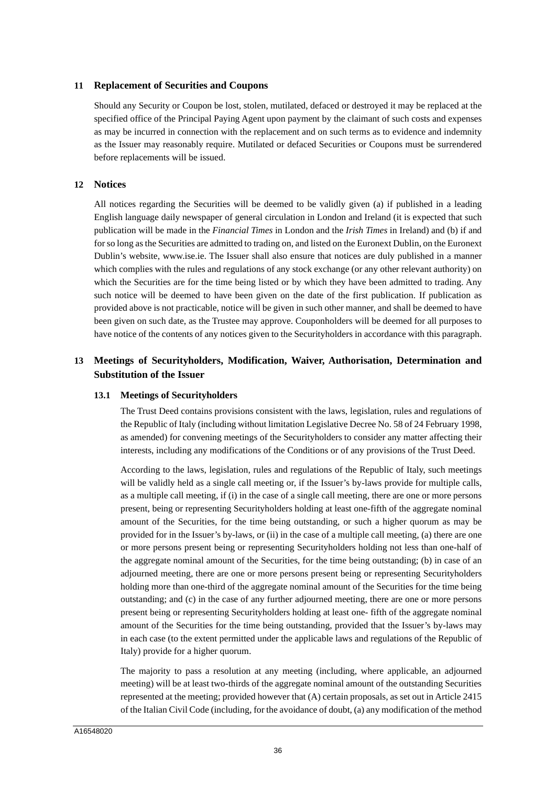### **11 Replacement of Securities and Coupons**

Should any Security or Coupon be lost, stolen, mutilated, defaced or destroyed it may be replaced at the specified office of the Principal Paying Agent upon payment by the claimant of such costs and expenses as may be incurred in connection with the replacement and on such terms as to evidence and indemnity as the Issuer may reasonably require. Mutilated or defaced Securities or Coupons must be surrendered before replacements will be issued.

### **12 Notices**

All notices regarding the Securities will be deemed to be validly given (a) if published in a leading English language daily newspaper of general circulation in London and Ireland (it is expected that such publication will be made in the *Financial Times* in London and the *Irish Times* in Ireland) and (b) if and for so long as the Securities are admitted to trading on, and listed on the Euronext Dublin, on the Euronext Dublin's website, www.ise.ie. The Issuer shall also ensure that notices are duly published in a manner which complies with the rules and regulations of any stock exchange (or any other relevant authority) on which the Securities are for the time being listed or by which they have been admitted to trading. Any such notice will be deemed to have been given on the date of the first publication. If publication as provided above is not practicable, notice will be given in such other manner, and shall be deemed to have been given on such date, as the Trustee may approve. Couponholders will be deemed for all purposes to have notice of the contents of any notices given to the Securityholders in accordance with this paragraph.

# **13 Meetings of Securityholders, Modification, Waiver, Authorisation, Determination and Substitution of the Issuer**

#### **13.1 Meetings of Securityholders**

The Trust Deed contains provisions consistent with the laws, legislation, rules and regulations of the Republic of Italy (including without limitation Legislative Decree No. 58 of 24 February 1998, as amended) for convening meetings of the Securityholders to consider any matter affecting their interests, including any modifications of the Conditions or of any provisions of the Trust Deed.

According to the laws, legislation, rules and regulations of the Republic of Italy, such meetings will be validly held as a single call meeting or, if the Issuer's by-laws provide for multiple calls, as a multiple call meeting, if (i) in the case of a single call meeting, there are one or more persons present, being or representing Securityholders holding at least one-fifth of the aggregate nominal amount of the Securities, for the time being outstanding, or such a higher quorum as may be provided for in the Issuer's by-laws, or (ii) in the case of a multiple call meeting, (a) there are one or more persons present being or representing Securityholders holding not less than one-half of the aggregate nominal amount of the Securities, for the time being outstanding; (b) in case of an adjourned meeting, there are one or more persons present being or representing Securityholders holding more than one-third of the aggregate nominal amount of the Securities for the time being outstanding; and (c) in the case of any further adjourned meeting, there are one or more persons present being or representing Securityholders holding at least one- fifth of the aggregate nominal amount of the Securities for the time being outstanding, provided that the Issuer's by-laws may in each case (to the extent permitted under the applicable laws and regulations of the Republic of Italy) provide for a higher quorum.

The majority to pass a resolution at any meeting (including, where applicable, an adjourned meeting) will be at least two-thirds of the aggregate nominal amount of the outstanding Securities represented at the meeting; provided however that (A) certain proposals, as set out in Article 2415 of the Italian Civil Code (including, for the avoidance of doubt, (a) any modification of the method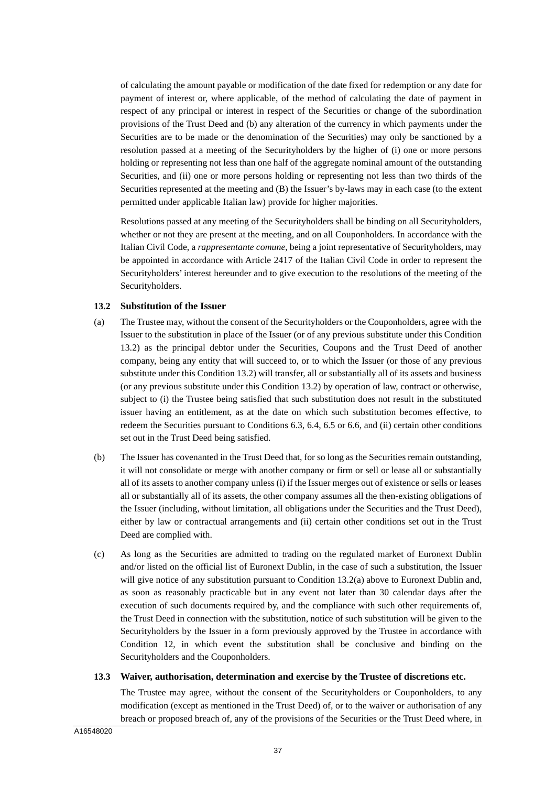of calculating the amount payable or modification of the date fixed for redemption or any date for payment of interest or, where applicable, of the method of calculating the date of payment in respect of any principal or interest in respect of the Securities or change of the subordination provisions of the Trust Deed and (b) any alteration of the currency in which payments under the Securities are to be made or the denomination of the Securities) may only be sanctioned by a resolution passed at a meeting of the Securityholders by the higher of (i) one or more persons holding or representing not less than one half of the aggregate nominal amount of the outstanding Securities, and (ii) one or more persons holding or representing not less than two thirds of the Securities represented at the meeting and (B) the Issuer's by-laws may in each case (to the extent permitted under applicable Italian law) provide for higher majorities.

Resolutions passed at any meeting of the Securityholders shall be binding on all Securityholders, whether or not they are present at the meeting, and on all Couponholders. In accordance with the Italian Civil Code, a *rappresentante comune*, being a joint representative of Securityholders, may be appointed in accordance with Article 2417 of the Italian Civil Code in order to represent the Securityholders' interest hereunder and to give execution to the resolutions of the meeting of the Securityholders.

### **13.2 Substitution of the Issuer**

- (a) The Trustee may, without the consent of the Securityholders or the Couponholders, agree with the Issuer to the substitution in place of the Issuer (or of any previous substitute under this Condition 13.2) as the principal debtor under the Securities, Coupons and the Trust Deed of another company, being any entity that will succeed to, or to which the Issuer (or those of any previous substitute under this Condition 13.2) will transfer, all or substantially all of its assets and business (or any previous substitute under this Condition 13.2) by operation of law, contract or otherwise, subject to (i) the Trustee being satisfied that such substitution does not result in the substituted issuer having an entitlement, as at the date on which such substitution becomes effective, to redeem the Securities pursuant to Conditions 6.3, 6.4, 6.5 or 6.6, and (ii) certain other conditions set out in the Trust Deed being satisfied.
- (b) The Issuer has covenanted in the Trust Deed that, for so long as the Securities remain outstanding, it will not consolidate or merge with another company or firm or sell or lease all or substantially all of its assets to another company unless (i) if the Issuer merges out of existence or sells or leases all or substantially all of its assets, the other company assumes all the then-existing obligations of the Issuer (including, without limitation, all obligations under the Securities and the Trust Deed), either by law or contractual arrangements and (ii) certain other conditions set out in the Trust Deed are complied with.
- (c) As long as the Securities are admitted to trading on the regulated market of Euronext Dublin and/or listed on the official list of Euronext Dublin, in the case of such a substitution, the Issuer will give notice of any substitution pursuant to Condition 13.2(a) above to Euronext Dublin and, as soon as reasonably practicable but in any event not later than 30 calendar days after the execution of such documents required by, and the compliance with such other requirements of, the Trust Deed in connection with the substitution, notice of such substitution will be given to the Securityholders by the Issuer in a form previously approved by the Trustee in accordance with Condition 12, in which event the substitution shall be conclusive and binding on the Securityholders and the Couponholders.

#### **13.3 Waiver, authorisation, determination and exercise by the Trustee of discretions etc.**

The Trustee may agree, without the consent of the Securityholders or Couponholders, to any modification (except as mentioned in the Trust Deed) of, or to the waiver or authorisation of any breach or proposed breach of, any of the provisions of the Securities or the Trust Deed where, in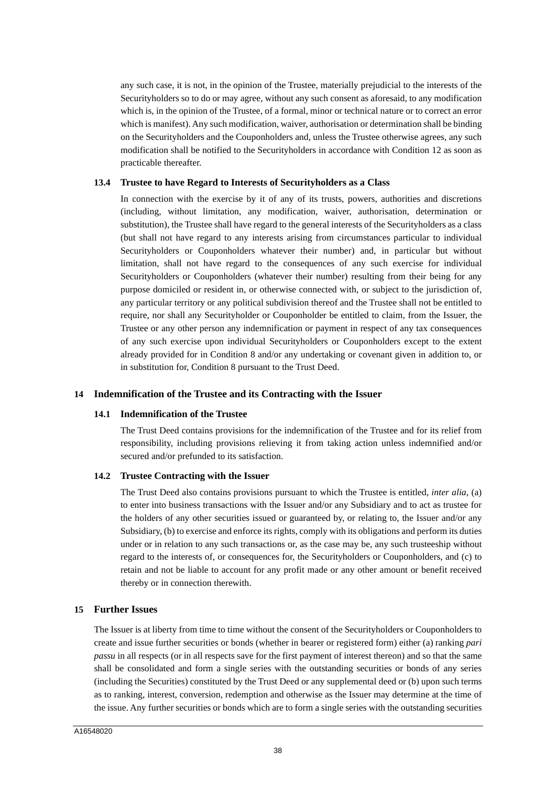any such case, it is not, in the opinion of the Trustee, materially prejudicial to the interests of the Securityholders so to do or may agree, without any such consent as aforesaid, to any modification which is, in the opinion of the Trustee, of a formal, minor or technical nature or to correct an error which is manifest). Any such modification, waiver, authorisation or determination shall be binding on the Securityholders and the Couponholders and, unless the Trustee otherwise agrees, any such modification shall be notified to the Securityholders in accordance with Condition 12 as soon as practicable thereafter.

#### **13.4 Trustee to have Regard to Interests of Securityholders as a Class**

In connection with the exercise by it of any of its trusts, powers, authorities and discretions (including, without limitation, any modification, waiver, authorisation, determination or substitution), the Trustee shall have regard to the general interests of the Securityholders as a class (but shall not have regard to any interests arising from circumstances particular to individual Securityholders or Couponholders whatever their number) and, in particular but without limitation, shall not have regard to the consequences of any such exercise for individual Securityholders or Couponholders (whatever their number) resulting from their being for any purpose domiciled or resident in, or otherwise connected with, or subject to the jurisdiction of, any particular territory or any political subdivision thereof and the Trustee shall not be entitled to require, nor shall any Securityholder or Couponholder be entitled to claim, from the Issuer, the Trustee or any other person any indemnification or payment in respect of any tax consequences of any such exercise upon individual Securityholders or Couponholders except to the extent already provided for in Condition 8 and/or any undertaking or covenant given in addition to, or in substitution for, Condition 8 pursuant to the Trust Deed.

# **14 Indemnification of the Trustee and its Contracting with the Issuer**

#### **14.1 Indemnification of the Trustee**

The Trust Deed contains provisions for the indemnification of the Trustee and for its relief from responsibility, including provisions relieving it from taking action unless indemnified and/or secured and/or prefunded to its satisfaction.

#### **14.2 Trustee Contracting with the Issuer**

The Trust Deed also contains provisions pursuant to which the Trustee is entitled, *inter alia*, (a) to enter into business transactions with the Issuer and/or any Subsidiary and to act as trustee for the holders of any other securities issued or guaranteed by, or relating to, the Issuer and/or any Subsidiary, (b) to exercise and enforce its rights, comply with its obligations and perform its duties under or in relation to any such transactions or, as the case may be, any such trusteeship without regard to the interests of, or consequences for, the Securityholders or Couponholders, and (c) to retain and not be liable to account for any profit made or any other amount or benefit received thereby or in connection therewith.

# **15 Further Issues**

The Issuer is at liberty from time to time without the consent of the Securityholders or Couponholders to create and issue further securities or bonds (whether in bearer or registered form) either (a) ranking *pari passu* in all respects (or in all respects save for the first payment of interest thereon) and so that the same shall be consolidated and form a single series with the outstanding securities or bonds of any series (including the Securities) constituted by the Trust Deed or any supplemental deed or (b) upon such terms as to ranking, interest, conversion, redemption and otherwise as the Issuer may determine at the time of the issue. Any further securities or bonds which are to form a single series with the outstanding securities